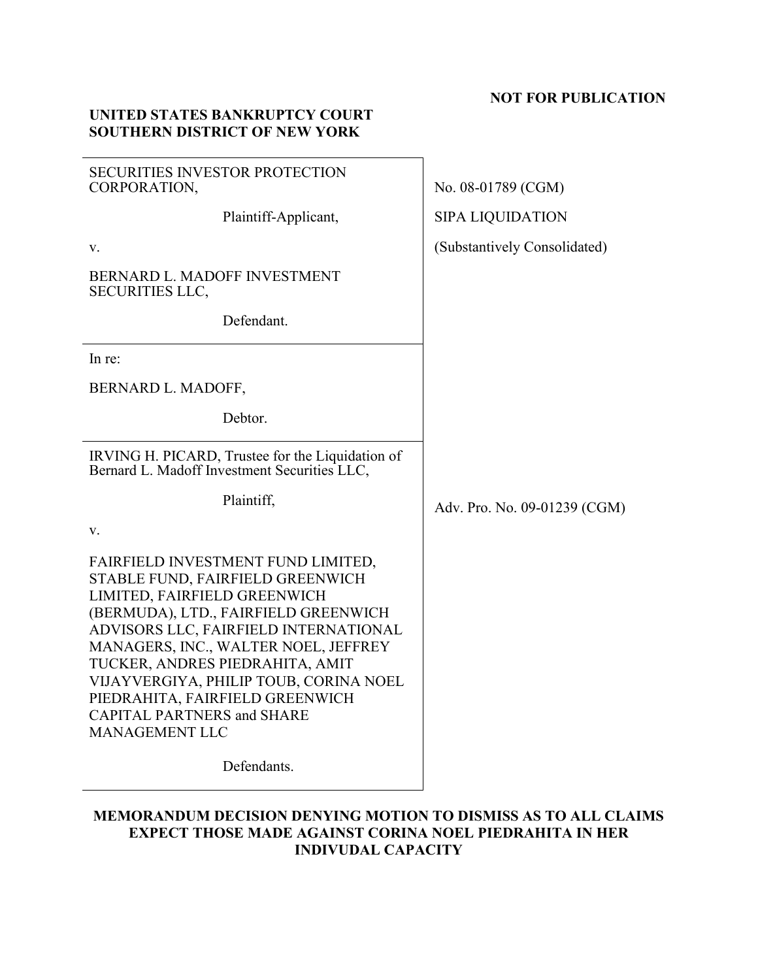## **NOT FOR PUBLICATION**

## **UNITED STATES BANKRUPTCY COURT SOUTHERN DISTRICT OF NEW YORK**

| <b>SECURITIES INVESTOR PROTECTION</b><br>CORPORATION,                                                                                                                                                                                                                                                                                                                                                         | No. 08-01789 (CGM)           |
|---------------------------------------------------------------------------------------------------------------------------------------------------------------------------------------------------------------------------------------------------------------------------------------------------------------------------------------------------------------------------------------------------------------|------------------------------|
| Plaintiff-Applicant,                                                                                                                                                                                                                                                                                                                                                                                          | <b>SIPA LIQUIDATION</b>      |
| V.                                                                                                                                                                                                                                                                                                                                                                                                            | (Substantively Consolidated) |
| BERNARD L. MADOFF INVESTMENT<br><b>SECURITIES LLC,</b>                                                                                                                                                                                                                                                                                                                                                        |                              |
| Defendant.                                                                                                                                                                                                                                                                                                                                                                                                    |                              |
| In re:                                                                                                                                                                                                                                                                                                                                                                                                        |                              |
| BERNARD L. MADOFF,                                                                                                                                                                                                                                                                                                                                                                                            |                              |
| Debtor.                                                                                                                                                                                                                                                                                                                                                                                                       |                              |
| IRVING H. PICARD, Trustee for the Liquidation of<br>Bernard L. Madoff Investment Securities LLC,                                                                                                                                                                                                                                                                                                              |                              |
| Plaintiff,                                                                                                                                                                                                                                                                                                                                                                                                    | Adv. Pro. No. 09-01239 (CGM) |
| V.                                                                                                                                                                                                                                                                                                                                                                                                            |                              |
| FAIRFIELD INVESTMENT FUND LIMITED,<br>STABLE FUND, FAIRFIELD GREENWICH<br>LIMITED, FAIRFIELD GREENWICH<br>(BERMUDA), LTD., FAIRFIELD GREENWICH<br>ADVISORS LLC, FAIRFIELD INTERNATIONAL<br>MANAGERS, INC., WALTER NOEL, JEFFREY<br>TUCKER, ANDRES PIEDRAHITA, AMIT<br>VIJAYVERGIYA, PHILIP TOUB, CORINA NOEL<br>PIEDRAHITA, FAIRFIELD GREENWICH<br><b>CAPITAL PARTNERS and SHARE</b><br><b>MANAGEMENT LLC</b> |                              |
| Defendants.                                                                                                                                                                                                                                                                                                                                                                                                   |                              |

## **MEMORANDUM DECISION DENYING MOTION TO DISMISS AS TO ALL CLAIMS EXPECT THOSE MADE AGAINST CORINA NOEL PIEDRAHITA IN HER INDIVUDAL CAPACITY**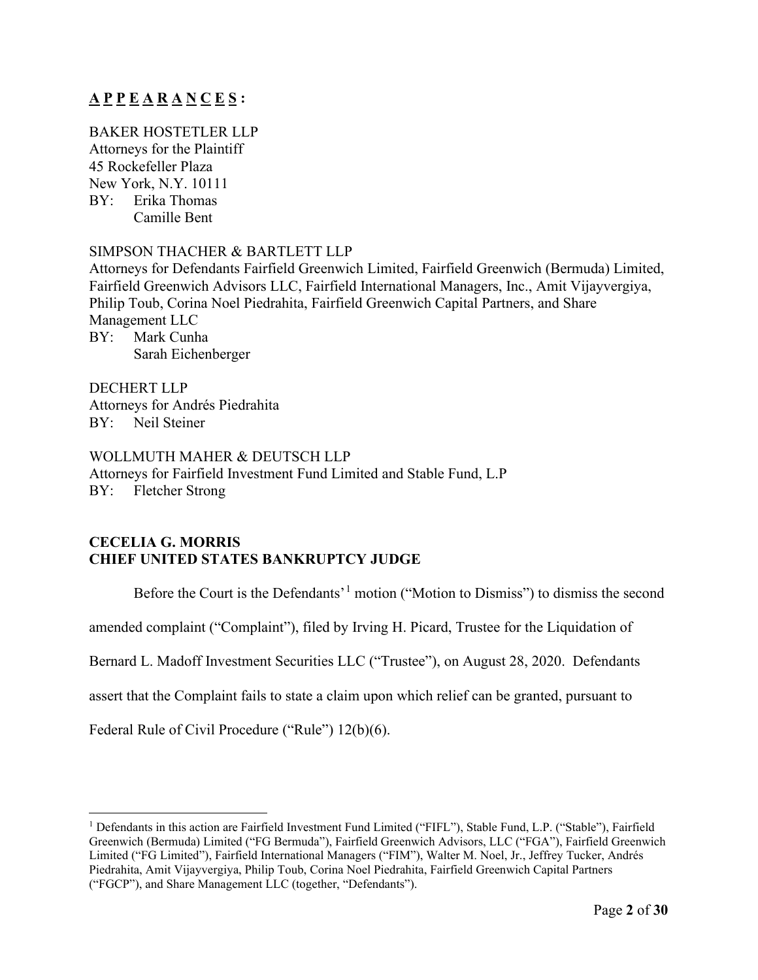# **A P P E A R A N C E S :**

BAKER HOSTETLER LLP Attorneys for the Plaintiff 45 Rockefeller Plaza New York, N.Y. 10111 BY: Erika Thomas Camille Bent

#### SIMPSON THACHER & BARTLETT LLP

Attorneys for Defendants Fairfield Greenwich Limited, Fairfield Greenwich (Bermuda) Limited, Fairfield Greenwich Advisors LLC, Fairfield International Managers, Inc., Amit Vijayvergiya, Philip Toub, Corina Noel Piedrahita, Fairfield Greenwich Capital Partners, and Share Management LLC BY: Mark Cunha Sarah Eichenberger

DECHERT LLP Attorneys for Andrés Piedrahita BY: Neil Steiner

### WOLLMUTH MAHER & DEUTSCH LLP

Attorneys for Fairfield Investment Fund Limited and Stable Fund, L.P BY: Fletcher Strong

## **CECELIA G. MORRIS CHIEF UNITED STATES BANKRUPTCY JUDGE**

Before the Court is the Defendants'<sup>[1](#page-1-0)</sup> motion ("Motion to Dismiss") to dismiss the second

amended complaint ("Complaint"), filed by Irving H. Picard, Trustee for the Liquidation of

Bernard L. Madoff Investment Securities LLC ("Trustee"), on August 28, 2020. Defendants

assert that the Complaint fails to state a claim upon which relief can be granted, pursuant to

Federal Rule of Civil Procedure ("Rule") 12(b)(6).

<span id="page-1-0"></span><sup>1</sup> Defendants in this action are Fairfield Investment Fund Limited ("FIFL"), Stable Fund, L.P. ("Stable"), Fairfield Greenwich (Bermuda) Limited ("FG Bermuda"), Fairfield Greenwich Advisors, LLC ("FGA"), Fairfield Greenwich Limited ("FG Limited"), Fairfield International Managers ("FIM"), Walter M. Noel, Jr., Jeffrey Tucker, Andrés Piedrahita, Amit Vijayvergiya, Philip Toub, Corina Noel Piedrahita, Fairfield Greenwich Capital Partners ("FGCP"), and Share Management LLC (together, "Defendants").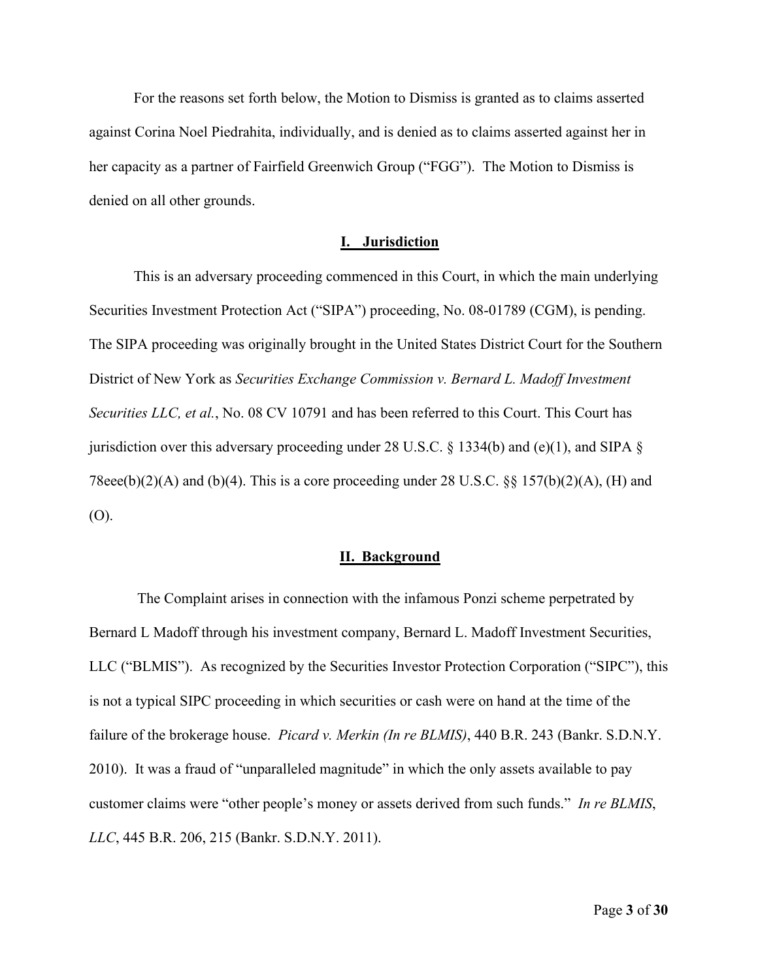For the reasons set forth below, the Motion to Dismiss is granted as to claims asserted against Corina Noel Piedrahita, individually, and is denied as to claims asserted against her in her capacity as a partner of Fairfield Greenwich Group ("FGG"). The Motion to Dismiss is denied on all other grounds.

#### **I. Jurisdiction**

This is an adversary proceeding commenced in this Court, in which the main underlying Securities Investment Protection Act ("SIPA") proceeding, No. 08-01789 (CGM), is pending. The SIPA proceeding was originally brought in the United States District Court for the Southern District of New York as *Securities Exchange Commission v. Bernard L. Madoff Investment Securities LLC, et al.*, No. 08 CV 10791 and has been referred to this Court. This Court has jurisdiction over this adversary proceeding under 28 U.S.C.  $\S$  1334(b) and (e)(1), and SIPA  $\S$ 78eee(b)(2)(A) and (b)(4). This is a core proceeding under 28 U.S.C. §§ 157(b)(2)(A), (H) and (O).

#### **II. Background**

The Complaint arises in connection with the infamous Ponzi scheme perpetrated by Bernard L Madoff through his investment company, Bernard L. Madoff Investment Securities, LLC ("BLMIS"). As recognized by the Securities Investor Protection Corporation ("SIPC"), this is not a typical SIPC proceeding in which securities or cash were on hand at the time of the failure of the brokerage house. *Picard v. Merkin (In re BLMIS)*, 440 B.R. 243 (Bankr. S.D.N.Y. 2010). It was a fraud of "unparalleled magnitude" in which the only assets available to pay customer claims were "other people's money or assets derived from such funds." *In re BLMIS*, *LLC*, 445 B.R. 206, 215 (Bankr. S.D.N.Y. 2011).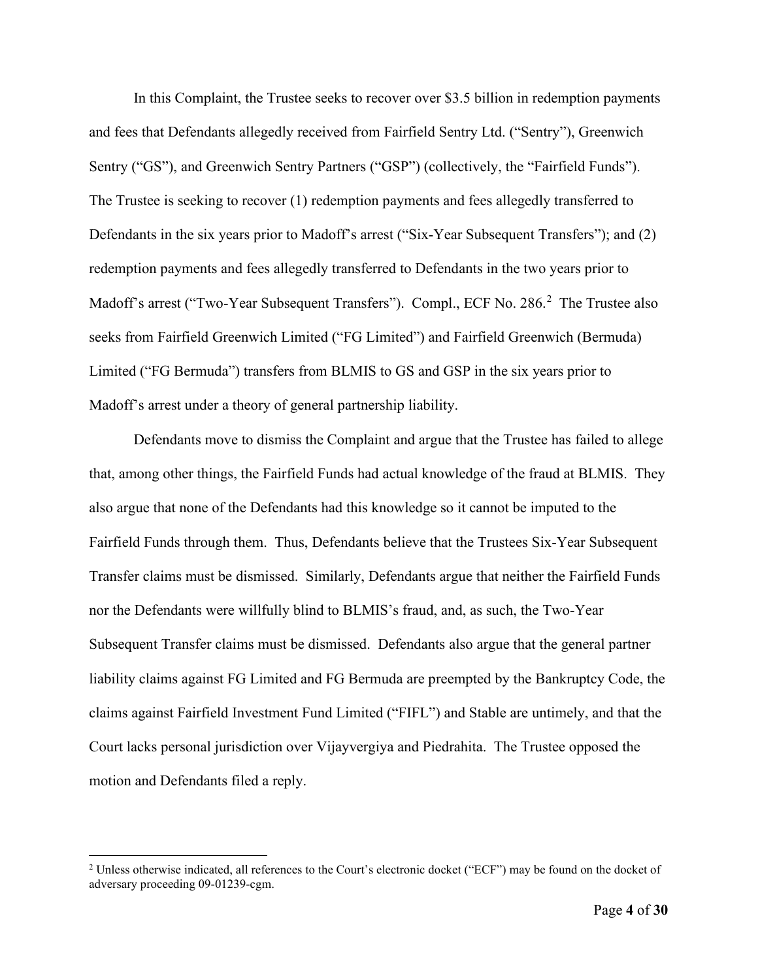In this Complaint, the Trustee seeks to recover over \$3.5 billion in redemption payments and fees that Defendants allegedly received from Fairfield Sentry Ltd. ("Sentry"), Greenwich Sentry ("GS"), and Greenwich Sentry Partners ("GSP") (collectively, the "Fairfield Funds"). The Trustee is seeking to recover (1) redemption payments and fees allegedly transferred to Defendants in the six years prior to Madoff's arrest ("Six-Year Subsequent Transfers"); and (2) redemption payments and fees allegedly transferred to Defendants in the two years prior to Madoff's arrest ("Two-Year Subsequent Transfers"). Compl., ECF No. [2](#page-3-0)86.<sup>2</sup> The Trustee also seeks from Fairfield Greenwich Limited ("FG Limited") and Fairfield Greenwich (Bermuda) Limited ("FG Bermuda") transfers from BLMIS to GS and GSP in the six years prior to Madoff's arrest under a theory of general partnership liability.

Defendants move to dismiss the Complaint and argue that the Trustee has failed to allege that, among other things, the Fairfield Funds had actual knowledge of the fraud at BLMIS. They also argue that none of the Defendants had this knowledge so it cannot be imputed to the Fairfield Funds through them. Thus, Defendants believe that the Trustees Six-Year Subsequent Transfer claims must be dismissed. Similarly, Defendants argue that neither the Fairfield Funds nor the Defendants were willfully blind to BLMIS's fraud, and, as such, the Two-Year Subsequent Transfer claims must be dismissed. Defendants also argue that the general partner liability claims against FG Limited and FG Bermuda are preempted by the Bankruptcy Code, the claims against Fairfield Investment Fund Limited ("FIFL") and Stable are untimely, and that the Court lacks personal jurisdiction over Vijayvergiya and Piedrahita. The Trustee opposed the motion and Defendants filed a reply.

<span id="page-3-0"></span><sup>&</sup>lt;sup>2</sup> Unless otherwise indicated, all references to the Court's electronic docket ("ECF") may be found on the docket of adversary proceeding 09-01239-cgm.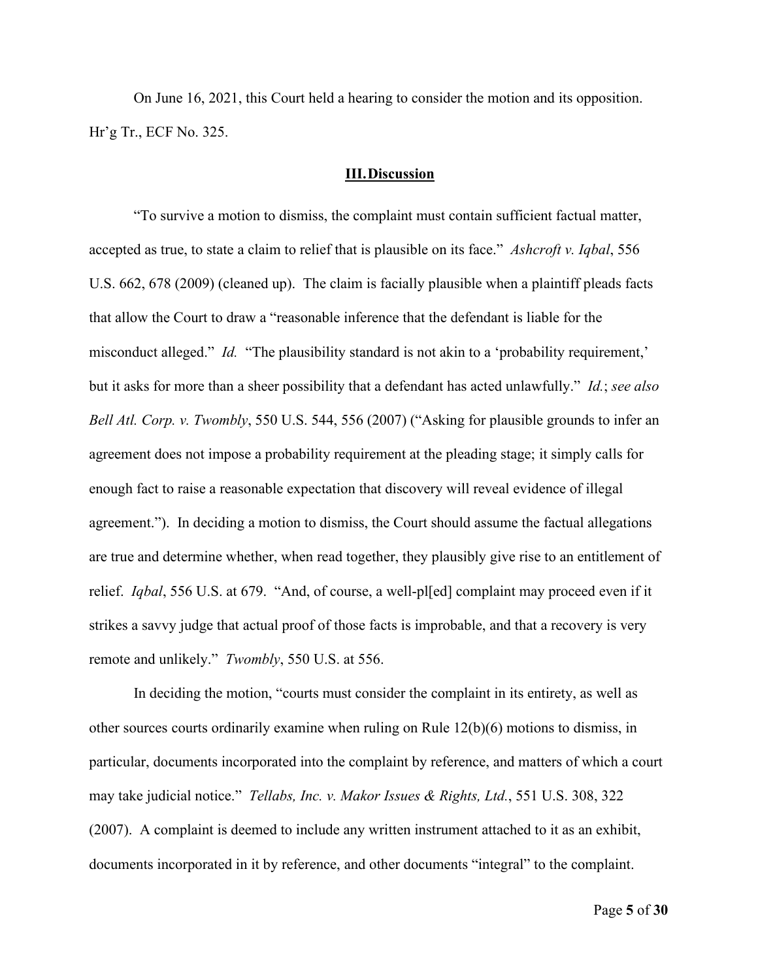On June 16, 2021, this Court held a hearing to consider the motion and its opposition. Hr'g Tr., ECF No. 325.

#### **III.Discussion**

"To survive a motion to dismiss, the complaint must contain sufficient factual matter, accepted as true, to state a claim to relief that is plausible on its face." *Ashcroft v. Iqbal*, 556 U.S. 662, 678 (2009) (cleaned up). The claim is facially plausible when a plaintiff pleads facts that allow the Court to draw a "reasonable inference that the defendant is liable for the misconduct alleged." *Id.* "The plausibility standard is not akin to a 'probability requirement,' but it asks for more than a sheer possibility that a defendant has acted unlawfully." *Id.*; *see also Bell Atl. Corp. v. Twombly*, 550 U.S. 544, 556 (2007) ("Asking for plausible grounds to infer an agreement does not impose a probability requirement at the pleading stage; it simply calls for enough fact to raise a reasonable expectation that discovery will reveal evidence of illegal agreement."). In deciding a motion to dismiss, the Court should assume the factual allegations are true and determine whether, when read together, they plausibly give rise to an entitlement of relief. *Iqbal*, 556 U.S. at 679. "And, of course, a well-pl[ed] complaint may proceed even if it strikes a savvy judge that actual proof of those facts is improbable, and that a recovery is very remote and unlikely." *Twombly*, 550 U.S. at 556.

In deciding the motion, "courts must consider the complaint in its entirety, as well as other sources courts ordinarily examine when ruling on Rule 12(b)(6) motions to dismiss, in particular, documents incorporated into the complaint by reference, and matters of which a court may take judicial notice." *Tellabs, Inc. v. Makor Issues & Rights, Ltd.*, 551 U.S. 308, 322 (2007). A complaint is deemed to include any written instrument attached to it as an exhibit, documents incorporated in it by reference, and other documents "integral" to the complaint.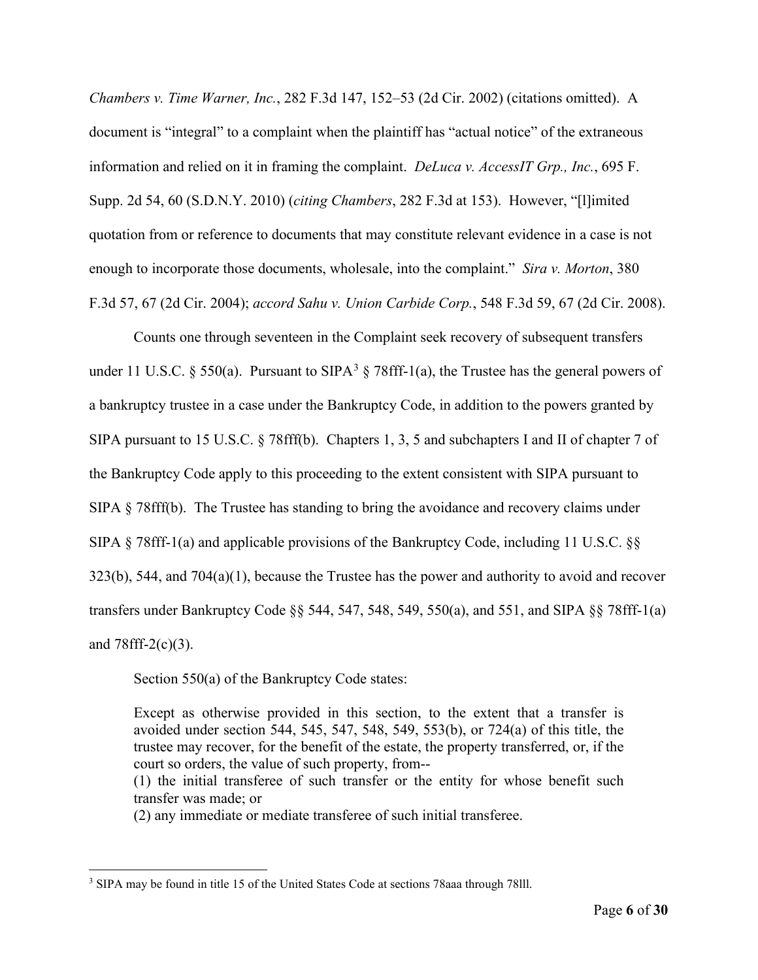*Chambers v. Time Warner, Inc.*, 282 F.3d 147, 152–53 (2d Cir. 2002) (citations omitted). A document is "integral" to a complaint when the plaintiff has "actual notice" of the extraneous information and relied on it in framing the complaint. *DeLuca v. AccessIT Grp., Inc.*, 695 F. Supp. 2d 54, 60 (S.D.N.Y. 2010) (*citing Chambers*, 282 F.3d at 153). However, "[l]imited quotation from or reference to documents that may constitute relevant evidence in a case is not enough to incorporate those documents, wholesale, into the complaint." *Sira v. Morton*, 380 F.3d 57, 67 (2d Cir. 2004); *accord Sahu v. Union Carbide Corp.*, 548 F.3d 59, 67 (2d Cir. 2008).

Counts one through seventeen in the Complaint seek recovery of subsequent transfers under 11 U.S.C. § 550(a). Pursuant to SIPA<sup>[3](#page-5-0)</sup> § 78fff-1(a), the Trustee has the general powers of a bankruptcy trustee in a case under the Bankruptcy Code, in addition to the powers granted by SIPA pursuant to 15 U.S.C. § 78fff(b). Chapters 1, 3, 5 and subchapters I and II of chapter 7 of the Bankruptcy Code apply to this proceeding to the extent consistent with SIPA pursuant to SIPA § 78fff(b). The Trustee has standing to bring the avoidance and recovery claims under SIPA § 78fff-1(a) and applicable provisions of the Bankruptcy Code, including 11 U.S.C. §§ 323(b), 544, and 704(a)(1), because the Trustee has the power and authority to avoid and recover transfers under Bankruptcy Code §§ 544, 547, 548, 549, 550(a), and 551, and SIPA §§ 78fff-1(a) and  $78$ fff-2(c)(3).

Section 550(a) of the Bankruptcy Code states:

Except as otherwise provided in this section, to the extent that a transfer is avoided under section 544, 545, 547, 548, 549, 553(b), or 724(a) of this title, the trustee may recover, for the benefit of the estate, the property transferred, or, if the court so orders, the value of such property, from--

(1) the initial transferee of such transfer or the entity for whose benefit such transfer was made; or

(2) any immediate or mediate transferee of such initial transferee.

<span id="page-5-0"></span><sup>3</sup> SIPA may be found in title 15 of the United States Code at sections 78aaa through 78lll.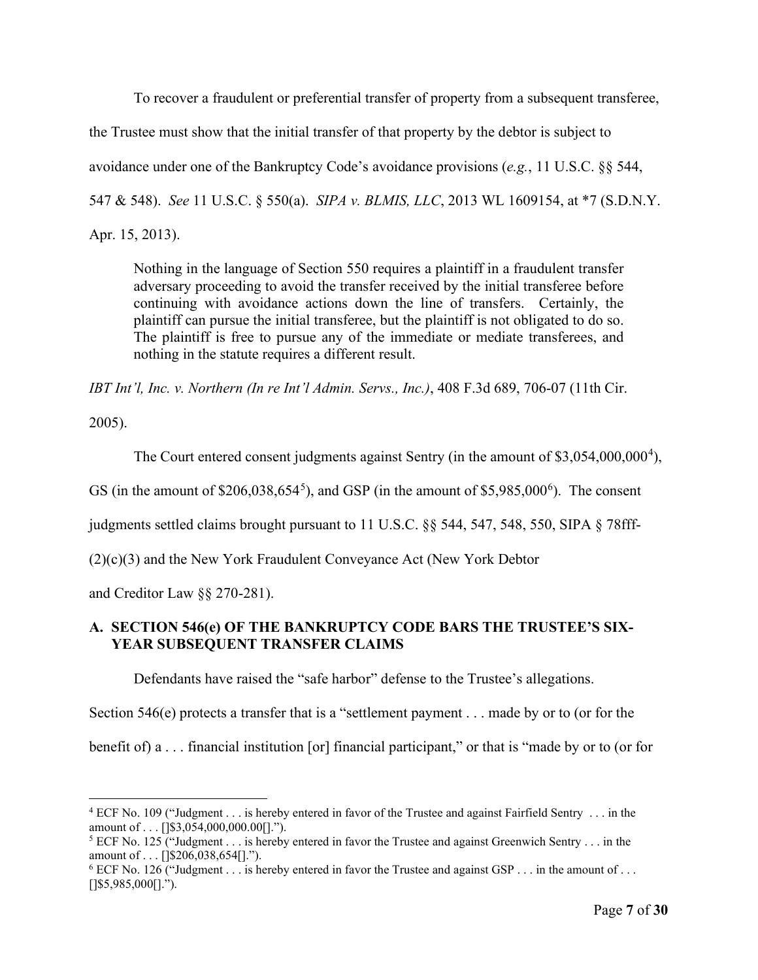To recover a fraudulent or preferential transfer of property from a subsequent transferee,

the Trustee must show that the initial transfer of that property by the debtor is subject to

avoidance under one of the Bankruptcy Code's avoidance provisions (*e.g.*, 11 U.S.C. §§ 544,

547 & 548). *See* 11 U.S.C. § 550(a). *SIPA v. BLMIS, LLC*, 2013 WL 1609154, at \*7 (S.D.N.Y.

Apr. 15, 2013).

Nothing in the language of Section 550 requires a plaintiff in a fraudulent transfer adversary proceeding to avoid the transfer received by the initial transferee before continuing with avoidance actions down the line of transfers. Certainly, the plaintiff can pursue the initial transferee, but the plaintiff is not obligated to do so. The plaintiff is free to pursue any of the immediate or mediate transferees, and nothing in the statute requires a different result.

*IBT Int'l, Inc. v. Northern (In re Int'l Admin. Servs., Inc.)*, 408 F.3d 689, 706-07 (11th Cir.

2005).

The Court entered consent judgments against Sentry (in the amount of  $$3,054,000,000^4$  $$3,054,000,000^4$  $$3,054,000,000^4$ ),

GS (in the amount of  $$206,038,654^5$  $$206,038,654^5$  $$206,038,654^5$ ), and GSP (in the amount of  $$5,985,000^6$  $$5,985,000^6$ ). The consent

judgments settled claims brought pursuant to 11 U.S.C. §§ 544, 547, 548, 550, SIPA § 78fff-

(2)(c)(3) and the New York Fraudulent Conveyance Act (New York Debtor

and Creditor Law §§ 270-281).

## **A. SECTION 546(e) OF THE BANKRUPTCY CODE BARS THE TRUSTEE'S SIX-YEAR SUBSEQUENT TRANSFER CLAIMS**

Defendants have raised the "safe harbor" defense to the Trustee's allegations.

Section 546(e) protects a transfer that is a "settlement payment . . . made by or to (or for the

benefit of) a . . . financial institution [or] financial participant," or that is "made by or to (or for

<span id="page-6-0"></span><sup>4</sup> ECF No. 109 ("Judgment . . . is hereby entered in favor of the Trustee and against Fairfield Sentry . . . in the amount of . . . []\$3,054,000,000.00[].").<br><sup>5</sup> ECF No. 125 ("Judgment . . . is hereby entered in favor the Trustee and against Greenwich Sentry . . . in the

<span id="page-6-1"></span>amount of . . . []\$206,038,654[].").<br><sup>6</sup> ECF No. 126 ("Judgment . . . is hereby entered in favor the Trustee and against GSP . . . in the amount of . . .

<span id="page-6-2"></span> $[$ ]\$5,985,000[].").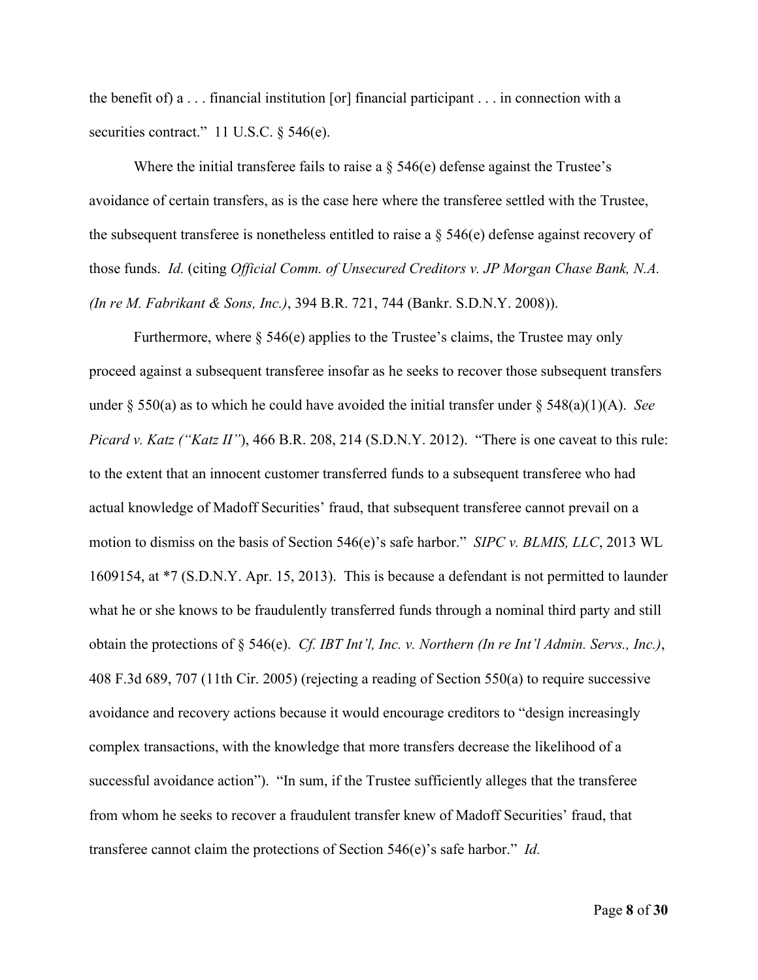the benefit of) a . . . financial institution [or] financial participant . . . in connection with a securities contract." 11 U.S.C. § 546(e).

Where the initial transferee fails to raise a  $\S$  546(e) defense against the Trustee's avoidance of certain transfers, as is the case here where the transferee settled with the Trustee, the subsequent transferee is nonetheless entitled to raise a  $\S$  546(e) defense against recovery of those funds. *Id.* (citing *Official Comm. of Unsecured Creditors v. JP Morgan Chase Bank, N.A. (In re M. Fabrikant & Sons, Inc.)*, 394 B.R. 721, 744 (Bankr. S.D.N.Y. 2008)).

Furthermore, where  $\S$  546(e) applies to the Trustee's claims, the Trustee may only proceed against a subsequent transferee insofar as he seeks to recover those subsequent transfers under § 550(a) as to which he could have avoided the initial transfer under § 548(a)(1)(A). *See Picard v. Katz ("Katz II"*), 466 B.R. 208, 214 (S.D.N.Y. 2012). "There is one caveat to this rule: to the extent that an innocent customer transferred funds to a subsequent transferee who had actual knowledge of Madoff Securities' fraud, that subsequent transferee cannot prevail on a motion to dismiss on the basis of Section 546(e)'s safe harbor." *SIPC v. BLMIS, LLC*, 2013 WL 1609154, at \*7 (S.D.N.Y. Apr. 15, 2013). This is because a defendant is not permitted to launder what he or she knows to be fraudulently transferred funds through a nominal third party and still obtain the protections of § 546(e). *Cf. IBT Int'l, Inc. v. Northern (In re Int'l Admin. Servs., Inc.)*, 408 F.3d 689, 707 (11th Cir. 2005) (rejecting a reading of Section 550(a) to require successive avoidance and recovery actions because it would encourage creditors to "design increasingly complex transactions, with the knowledge that more transfers decrease the likelihood of a successful avoidance action"). "In sum, if the Trustee sufficiently alleges that the transferee from whom he seeks to recover a fraudulent transfer knew of Madoff Securities' fraud, that transferee cannot claim the protections of Section 546(e)'s safe harbor." *Id.*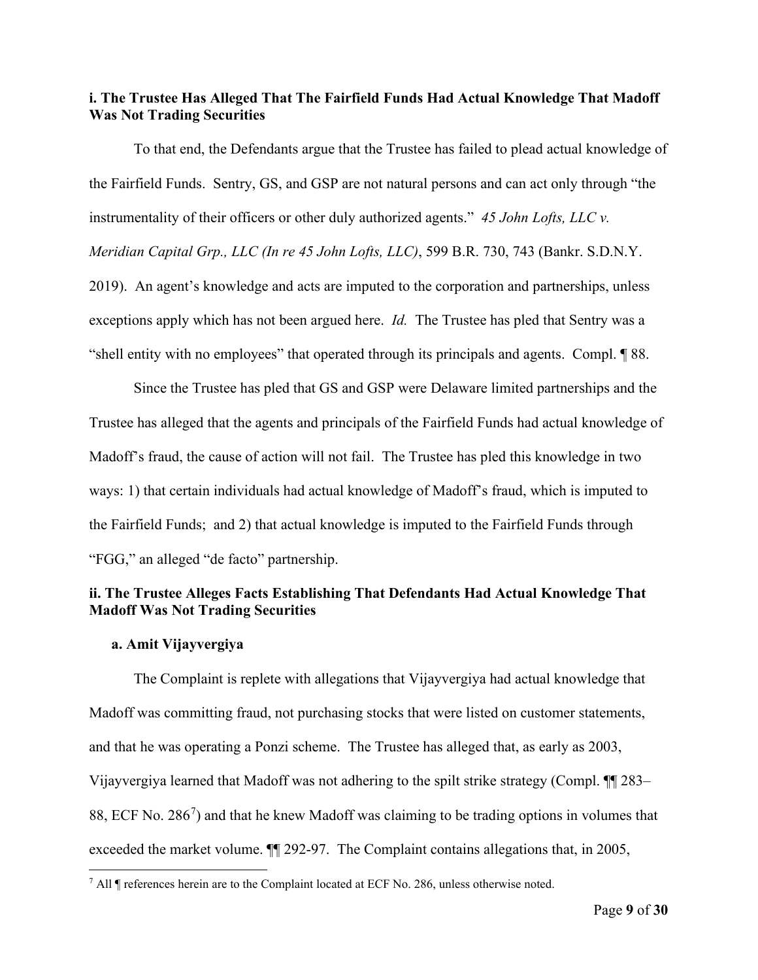## **i. The Trustee Has Alleged That The Fairfield Funds Had Actual Knowledge That Madoff Was Not Trading Securities**

To that end, the Defendants argue that the Trustee has failed to plead actual knowledge of the Fairfield Funds. Sentry, GS, and GSP are not natural persons and can act only through "the instrumentality of their officers or other duly authorized agents." *45 John Lofts, LLC v. Meridian Capital Grp., LLC (In re 45 John Lofts, LLC)*, 599 B.R. 730, 743 (Bankr. S.D.N.Y. 2019). An agent's knowledge and acts are imputed to the corporation and partnerships, unless exceptions apply which has not been argued here. *Id.* The Trustee has pled that Sentry was a "shell entity with no employees" that operated through its principals and agents. Compl. ¶ 88.

Since the Trustee has pled that GS and GSP were Delaware limited partnerships and the Trustee has alleged that the agents and principals of the Fairfield Funds had actual knowledge of Madoff's fraud, the cause of action will not fail. The Trustee has pled this knowledge in two ways: 1) that certain individuals had actual knowledge of Madoff's fraud, which is imputed to the Fairfield Funds; and 2) that actual knowledge is imputed to the Fairfield Funds through "FGG," an alleged "de facto" partnership.

## **ii. The Trustee Alleges Facts Establishing That Defendants Had Actual Knowledge That Madoff Was Not Trading Securities**

#### **a. Amit Vijayvergiya**

The Complaint is replete with allegations that Vijayvergiya had actual knowledge that Madoff was committing fraud, not purchasing stocks that were listed on customer statements, and that he was operating a Ponzi scheme. The Trustee has alleged that, as early as 2003, Vijayvergiya learned that Madoff was not adhering to the spilt strike strategy (Compl. ¶¶ 283– 88, ECF No. 286 $^7$  $^7$ ) and that he knew Madoff was claiming to be trading options in volumes that exceeded the market volume. ¶¶ 292-97. The Complaint contains allegations that, in 2005,

<span id="page-8-0"></span><sup>&</sup>lt;sup>7</sup> All  $\P$  references herein are to the Complaint located at ECF No. 286, unless otherwise noted.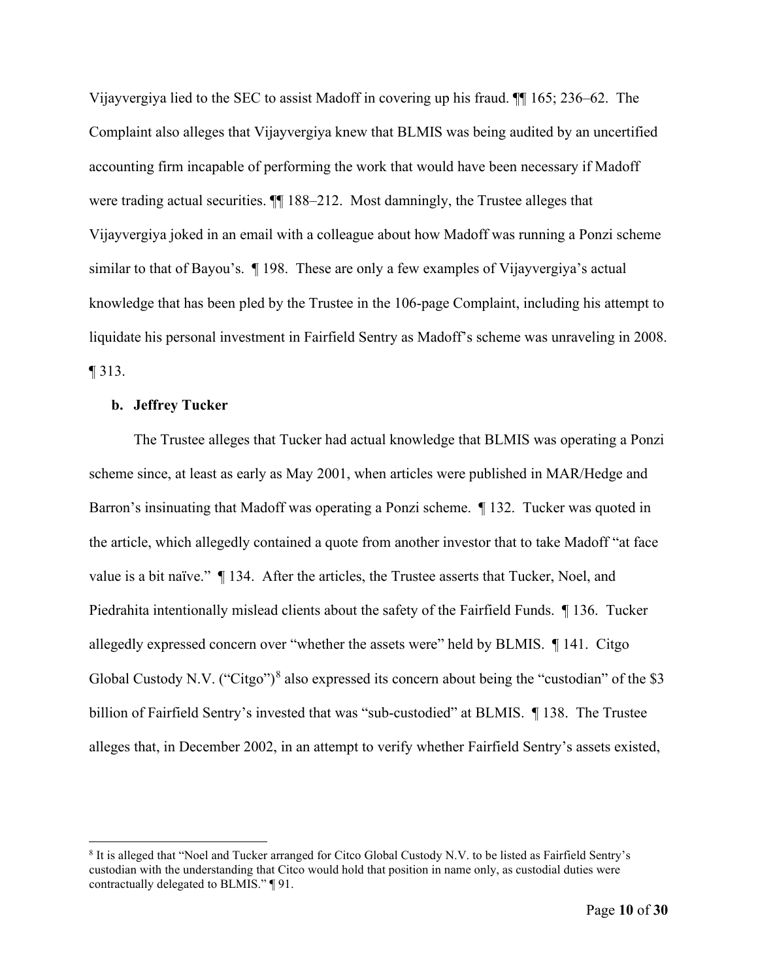Vijayvergiya lied to the SEC to assist Madoff in covering up his fraud. ¶¶ 165; 236–62. The Complaint also alleges that Vijayvergiya knew that BLMIS was being audited by an uncertified accounting firm incapable of performing the work that would have been necessary if Madoff were trading actual securities.  $\P$  188–212. Most damningly, the Trustee alleges that Vijayvergiya joked in an email with a colleague about how Madoff was running a Ponzi scheme similar to that of Bayou's. ¶ 198. These are only a few examples of Vijayvergiya's actual knowledge that has been pled by the Trustee in the 106-page Complaint, including his attempt to liquidate his personal investment in Fairfield Sentry as Madoff's scheme was unraveling in 2008. ¶ 313.

#### **b. Jeffrey Tucker**

The Trustee alleges that Tucker had actual knowledge that BLMIS was operating a Ponzi scheme since, at least as early as May 2001, when articles were published in MAR/Hedge and Barron's insinuating that Madoff was operating a Ponzi scheme. ¶ 132. Tucker was quoted in the article, which allegedly contained a quote from another investor that to take Madoff "at face value is a bit naïve." ¶ 134. After the articles, the Trustee asserts that Tucker, Noel, and Piedrahita intentionally mislead clients about the safety of the Fairfield Funds. ¶ 136. Tucker allegedly expressed concern over "whether the assets were" held by BLMIS. ¶ 141. Citgo Global Custody N.V. ("Citgo")<sup>[8](#page-9-0)</sup> also expressed its concern about being the "custodian" of the \$3 billion of Fairfield Sentry's invested that was "sub-custodied" at BLMIS. ¶138. The Trustee alleges that, in December 2002, in an attempt to verify whether Fairfield Sentry's assets existed,

<span id="page-9-0"></span><sup>8</sup> It is alleged that "Noel and Tucker arranged for Citco Global Custody N.V. to be listed as Fairfield Sentry's custodian with the understanding that Citco would hold that position in name only, as custodial duties were contractually delegated to BLMIS." ¶ 91.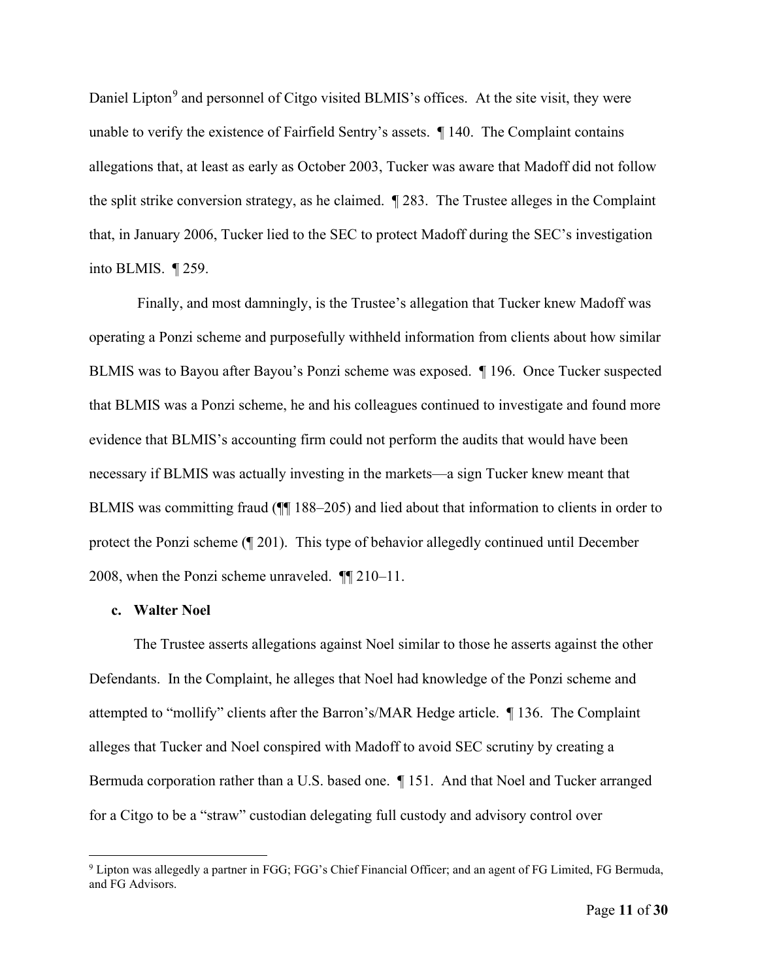Daniel Lipton<sup>[9](#page-10-0)</sup> and personnel of Citgo visited BLMIS's offices. At the site visit, they were unable to verify the existence of Fairfield Sentry's assets. ¶ 140. The Complaint contains allegations that, at least as early as October 2003, Tucker was aware that Madoff did not follow the split strike conversion strategy, as he claimed. ¶ 283. The Trustee alleges in the Complaint that, in January 2006, Tucker lied to the SEC to protect Madoff during the SEC's investigation into BLMIS. ¶ 259.

Finally, and most damningly, is the Trustee's allegation that Tucker knew Madoff was operating a Ponzi scheme and purposefully withheld information from clients about how similar BLMIS was to Bayou after Bayou's Ponzi scheme was exposed. ¶ 196. Once Tucker suspected that BLMIS was a Ponzi scheme, he and his colleagues continued to investigate and found more evidence that BLMIS's accounting firm could not perform the audits that would have been necessary if BLMIS was actually investing in the markets—a sign Tucker knew meant that BLMIS was committing fraud ( $\P$  188–205) and lied about that information to clients in order to protect the Ponzi scheme (¶ 201). This type of behavior allegedly continued until December 2008, when the Ponzi scheme unraveled. ¶¶ 210–11.

#### **c. Walter Noel**

The Trustee asserts allegations against Noel similar to those he asserts against the other Defendants. In the Complaint, he alleges that Noel had knowledge of the Ponzi scheme and attempted to "mollify" clients after the Barron's/MAR Hedge article. ¶ 136. The Complaint alleges that Tucker and Noel conspired with Madoff to avoid SEC scrutiny by creating a Bermuda corporation rather than a U.S. based one. ¶ 151. And that Noel and Tucker arranged for a Citgo to be a "straw" custodian delegating full custody and advisory control over

<span id="page-10-0"></span><sup>&</sup>lt;sup>9</sup> Lipton was allegedly a partner in FGG; FGG's Chief Financial Officer; and an agent of FG Limited, FG Bermuda, and FG Advisors.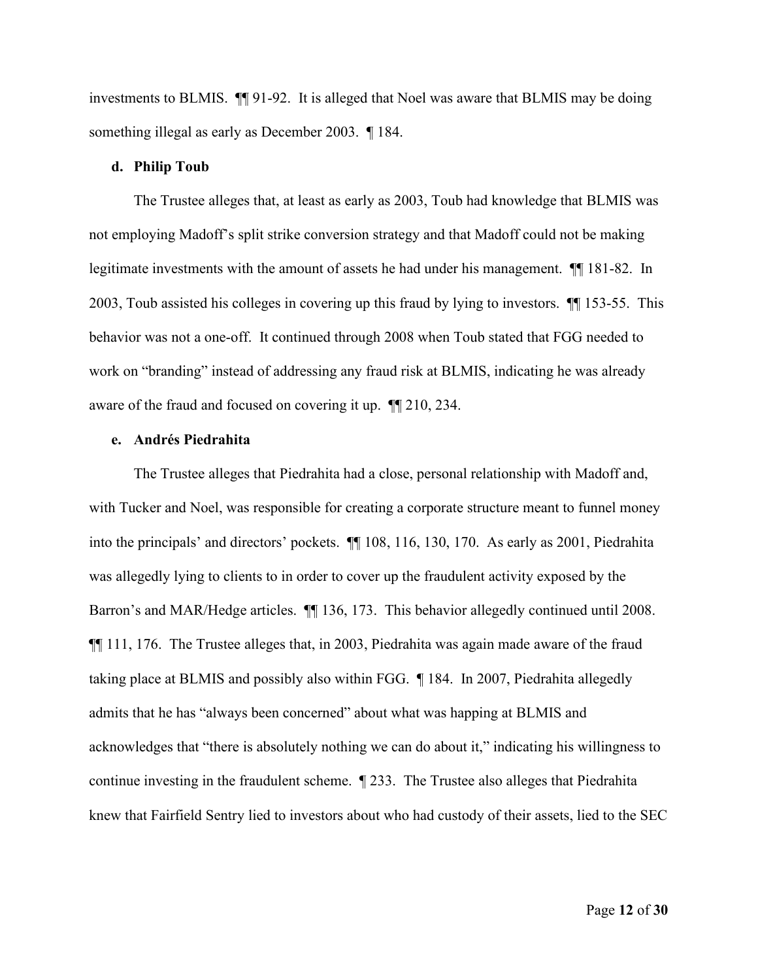investments to BLMIS. ¶¶ 91-92. It is alleged that Noel was aware that BLMIS may be doing something illegal as early as December 2003. ¶ 184.

#### **d. Philip Toub**

The Trustee alleges that, at least as early as 2003, Toub had knowledge that BLMIS was not employing Madoff's split strike conversion strategy and that Madoff could not be making legitimate investments with the amount of assets he had under his management. ¶¶ 181-82. In 2003, Toub assisted his colleges in covering up this fraud by lying to investors. ¶¶ 153-55. This behavior was not a one-off. It continued through 2008 when Toub stated that FGG needed to work on "branding" instead of addressing any fraud risk at BLMIS, indicating he was already aware of the fraud and focused on covering it up. ¶¶ 210, 234.

#### **e. Andrés Piedrahita**

The Trustee alleges that Piedrahita had a close, personal relationship with Madoff and, with Tucker and Noel, was responsible for creating a corporate structure meant to funnel money into the principals' and directors' pockets. ¶¶ 108, 116, 130, 170. As early as 2001, Piedrahita was allegedly lying to clients to in order to cover up the fraudulent activity exposed by the Barron's and MAR/Hedge articles. ¶¶ 136, 173. This behavior allegedly continued until 2008. ¶¶ 111, 176. The Trustee alleges that, in 2003, Piedrahita was again made aware of the fraud taking place at BLMIS and possibly also within FGG. ¶ 184. In 2007, Piedrahita allegedly admits that he has "always been concerned" about what was happing at BLMIS and acknowledges that "there is absolutely nothing we can do about it," indicating his willingness to continue investing in the fraudulent scheme. ¶ 233. The Trustee also alleges that Piedrahita knew that Fairfield Sentry lied to investors about who had custody of their assets, lied to the SEC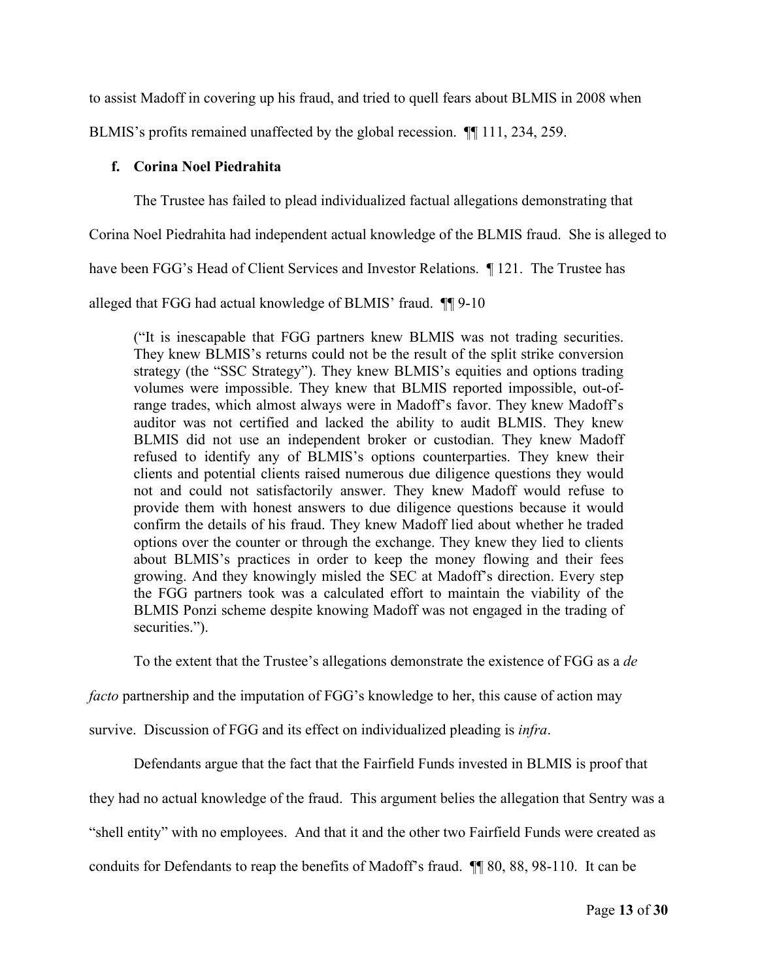to assist Madoff in covering up his fraud, and tried to quell fears about BLMIS in 2008 when

BLMIS's profits remained unaffected by the global recession. ¶¶ 111, 234, 259.

## **f. Corina Noel Piedrahita**

The Trustee has failed to plead individualized factual allegations demonstrating that

Corina Noel Piedrahita had independent actual knowledge of the BLMIS fraud. She is alleged to

have been FGG's Head of Client Services and Investor Relations. ¶ 121. The Trustee has

alleged that FGG had actual knowledge of BLMIS' fraud. ¶¶ 9-10

("It is inescapable that FGG partners knew BLMIS was not trading securities. They knew BLMIS's returns could not be the result of the split strike conversion strategy (the "SSC Strategy"). They knew BLMIS's equities and options trading volumes were impossible. They knew that BLMIS reported impossible, out-ofrange trades, which almost always were in Madoff's favor. They knew Madoff's auditor was not certified and lacked the ability to audit BLMIS. They knew BLMIS did not use an independent broker or custodian. They knew Madoff refused to identify any of BLMIS's options counterparties. They knew their clients and potential clients raised numerous due diligence questions they would not and could not satisfactorily answer. They knew Madoff would refuse to provide them with honest answers to due diligence questions because it would confirm the details of his fraud. They knew Madoff lied about whether he traded options over the counter or through the exchange. They knew they lied to clients about BLMIS's practices in order to keep the money flowing and their fees growing. And they knowingly misled the SEC at Madoff's direction. Every step the FGG partners took was a calculated effort to maintain the viability of the BLMIS Ponzi scheme despite knowing Madoff was not engaged in the trading of securities.").

To the extent that the Trustee's allegations demonstrate the existence of FGG as a *de* 

*facto* partnership and the imputation of FGG's knowledge to her, this cause of action may

survive. Discussion of FGG and its effect on individualized pleading is *infra*.

Defendants argue that the fact that the Fairfield Funds invested in BLMIS is proof that

they had no actual knowledge of the fraud. This argument belies the allegation that Sentry was a

"shell entity" with no employees. And that it and the other two Fairfield Funds were created as

conduits for Defendants to reap the benefits of Madoff's fraud. ¶¶ 80, 88, 98-110. It can be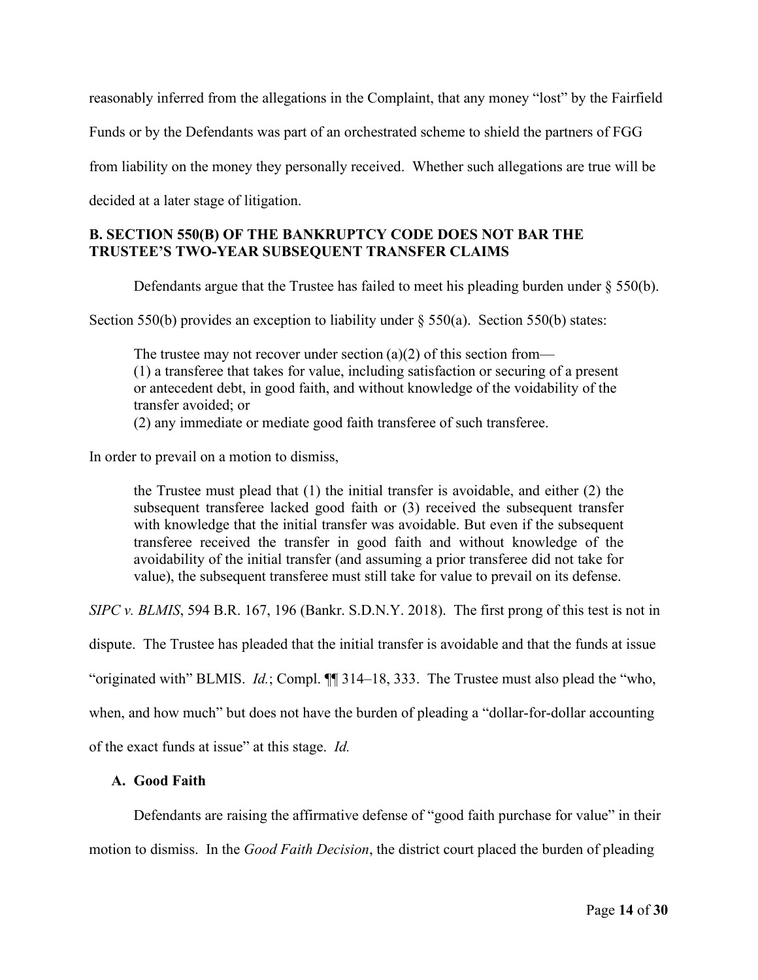reasonably inferred from the allegations in the Complaint, that any money "lost" by the Fairfield

Funds or by the Defendants was part of an orchestrated scheme to shield the partners of FGG

from liability on the money they personally received. Whether such allegations are true will be

decided at a later stage of litigation.

## **B. SECTION 550(B) OF THE BANKRUPTCY CODE DOES NOT BAR THE TRUSTEE'S TWO-YEAR SUBSEQUENT TRANSFER CLAIMS**

Defendants argue that the Trustee has failed to meet his pleading burden under § 550(b).

Section 550(b) provides an exception to liability under § 550(a). Section 550(b) states:

The trustee may not recover under section  $(a)(2)$  of this section from— (1) a transferee that takes for value, including satisfaction or securing of a present or antecedent debt, in good faith, and without knowledge of the voidability of the transfer avoided; or (2) any immediate or mediate good faith transferee of such transferee.

In order to prevail on a motion to dismiss,

the Trustee must plead that (1) the initial transfer is avoidable, and either (2) the subsequent transferee lacked good faith or (3) received the subsequent transfer with knowledge that the initial transfer was avoidable. But even if the subsequent transferee received the transfer in good faith and without knowledge of the avoidability of the initial transfer (and assuming a prior transferee did not take for value), the subsequent transferee must still take for value to prevail on its defense.

*SIPC v. BLMIS*, 594 B.R. 167, 196 (Bankr. S.D.N.Y. 2018). The first prong of this test is not in

dispute. The Trustee has pleaded that the initial transfer is avoidable and that the funds at issue

"originated with" BLMIS. *Id.*; Compl. ¶¶ 314–18, 333. The Trustee must also plead the "who,

when, and how much" but does not have the burden of pleading a "dollar-for-dollar accounting

of the exact funds at issue" at this stage. *Id.*

### **A. Good Faith**

Defendants are raising the affirmative defense of "good faith purchase for value" in their motion to dismiss. In the *Good Faith Decision*, the district court placed the burden of pleading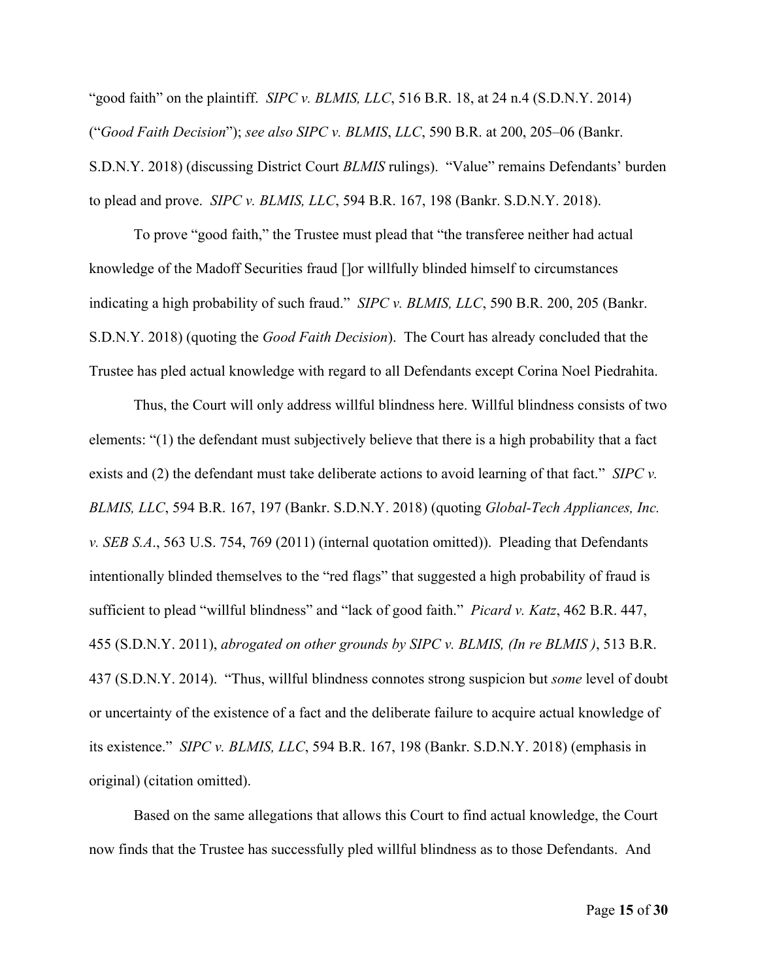"good faith" on the plaintiff. *SIPC v. BLMIS, LLC*, 516 B.R. 18, at 24 n.4 (S.D.N.Y. 2014) ("*Good Faith Decision*"); *see also SIPC v. BLMIS*, *LLC*, 590 B.R. at 200, 205–06 (Bankr. S.D.N.Y. 2018) (discussing District Court *BLMIS* rulings). "Value" remains Defendants' burden to plead and prove. *SIPC v. BLMIS, LLC*, 594 B.R. 167, 198 (Bankr. S.D.N.Y. 2018).

To prove "good faith," the Trustee must plead that "the transferee neither had actual knowledge of the Madoff Securities fraud []or willfully blinded himself to circumstances indicating a high probability of such fraud." *SIPC v. BLMIS, LLC*, 590 B.R. 200, 205 (Bankr. S.D.N.Y. 2018) (quoting the *Good Faith Decision*). The Court has already concluded that the Trustee has pled actual knowledge with regard to all Defendants except Corina Noel Piedrahita.

Thus, the Court will only address willful blindness here. Willful blindness consists of two elements: "(1) the defendant must subjectively believe that there is a high probability that a fact exists and (2) the defendant must take deliberate actions to avoid learning of that fact." *SIPC v. BLMIS, LLC*, 594 B.R. 167, 197 (Bankr. S.D.N.Y. 2018) (quoting *Global-Tech Appliances, Inc. v. SEB S.A*., 563 U.S. 754, 769 (2011) (internal quotation omitted)). Pleading that Defendants intentionally blinded themselves to the "red flags" that suggested a high probability of fraud is sufficient to plead "willful blindness" and "lack of good faith." *Picard v. Katz*, 462 B.R. 447, 455 (S.D.N.Y. 2011), *abrogated on other grounds by SIPC v. BLMIS, (In re BLMIS )*, 513 B.R. 437 (S.D.N.Y. 2014). "Thus, willful blindness connotes strong suspicion but *some* level of doubt or uncertainty of the existence of a fact and the deliberate failure to acquire actual knowledge of its existence." *SIPC v. BLMIS, LLC*, 594 B.R. 167, 198 (Bankr. S.D.N.Y. 2018) (emphasis in original) (citation omitted).

Based on the same allegations that allows this Court to find actual knowledge, the Court now finds that the Trustee has successfully pled willful blindness as to those Defendants. And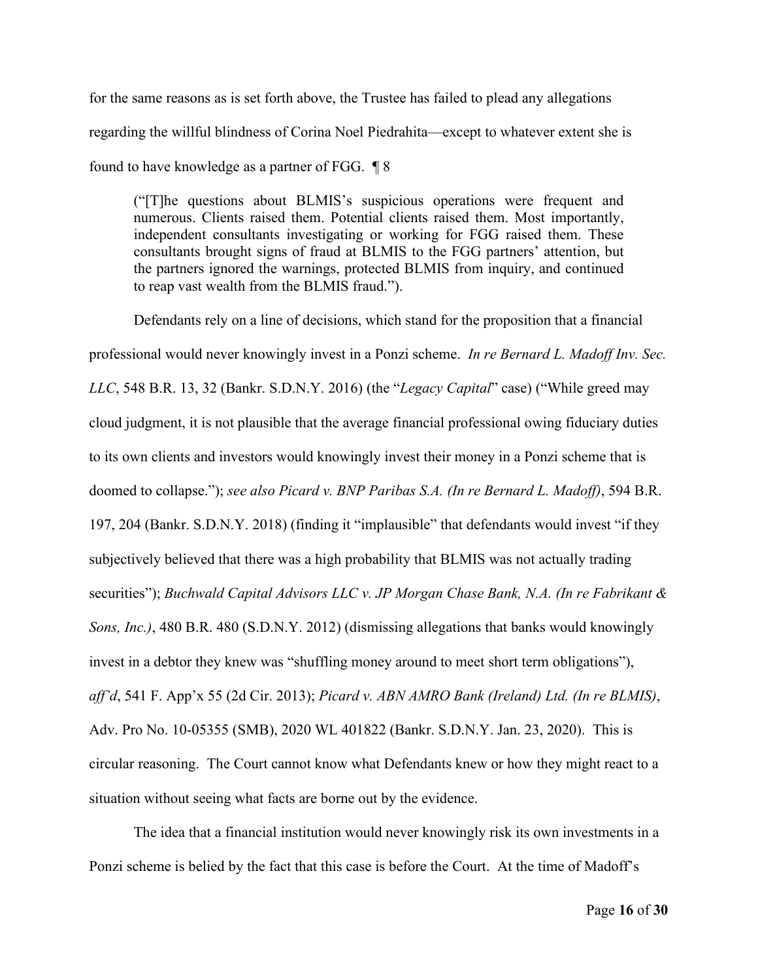for the same reasons as is set forth above, the Trustee has failed to plead any allegations regarding the willful blindness of Corina Noel Piedrahita—except to whatever extent she is found to have knowledge as a partner of FGG. ¶ 8

("[T]he questions about BLMIS's suspicious operations were frequent and numerous. Clients raised them. Potential clients raised them. Most importantly, independent consultants investigating or working for FGG raised them. These consultants brought signs of fraud at BLMIS to the FGG partners' attention, but the partners ignored the warnings, protected BLMIS from inquiry, and continued to reap vast wealth from the BLMIS fraud.").

Defendants rely on a line of decisions, which stand for the proposition that a financial professional would never knowingly invest in a Ponzi scheme. *In re Bernard L. Madoff Inv. Sec. LLC*, 548 B.R. 13, 32 (Bankr. S.D.N.Y. 2016) (the "*Legacy Capital*" case) ("While greed may cloud judgment, it is not plausible that the average financial professional owing fiduciary duties to its own clients and investors would knowingly invest their money in a Ponzi scheme that is doomed to collapse."); *see also Picard v. BNP Paribas S.A. (In re Bernard L. Madoff)*, 594 B.R. 197, 204 (Bankr. S.D.N.Y. 2018) (finding it "implausible" that defendants would invest "if they subjectively believed that there was a high probability that BLMIS was not actually trading securities"); *Buchwald Capital Advisors LLC v. JP Morgan Chase Bank, N.A. (In re Fabrikant & Sons, Inc.)*, 480 B.R. 480 (S.D.N.Y. 2012) (dismissing allegations that banks would knowingly invest in a debtor they knew was "shuffling money around to meet short term obligations"), *aff'd*, 541 F. App'x 55 (2d Cir. 2013); *Picard v. ABN AMRO Bank (Ireland) Ltd. (In re BLMIS)*, Adv. Pro No. 10-05355 (SMB), 2020 WL 401822 (Bankr. S.D.N.Y. Jan. 23, 2020). This is circular reasoning. The Court cannot know what Defendants knew or how they might react to a situation without seeing what facts are borne out by the evidence.

The idea that a financial institution would never knowingly risk its own investments in a Ponzi scheme is belied by the fact that this case is before the Court. At the time of Madoff's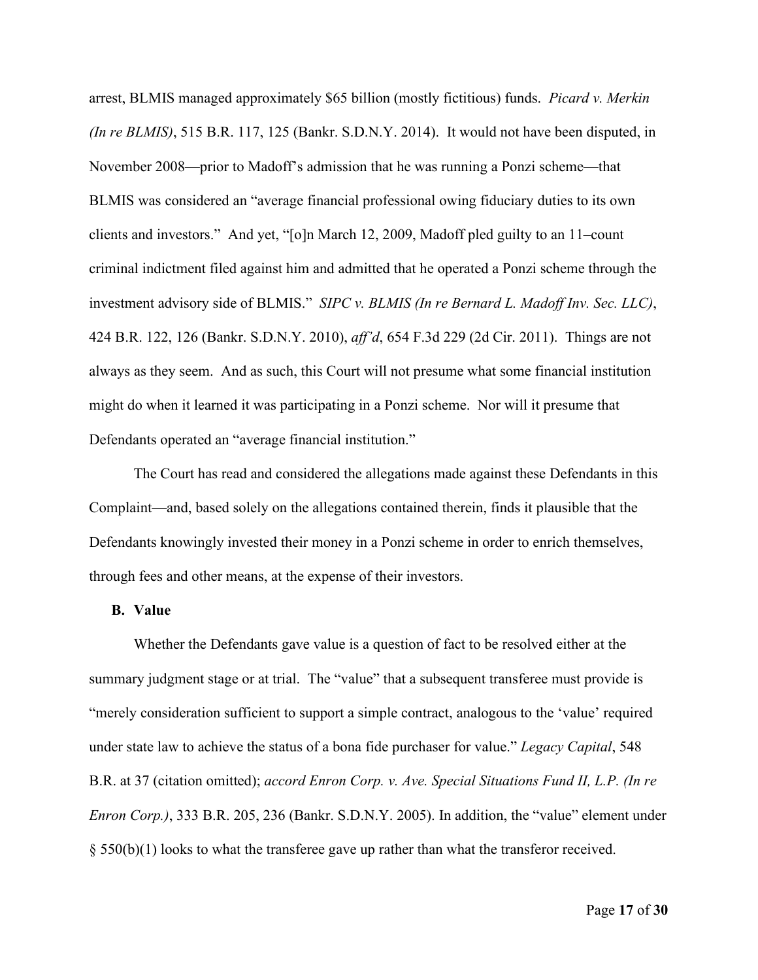arrest, BLMIS managed approximately \$65 billion (mostly fictitious) funds. *Picard v. Merkin (In re BLMIS)*, 515 B.R. 117, 125 (Bankr. S.D.N.Y. 2014). It would not have been disputed, in November 2008—prior to Madoff's admission that he was running a Ponzi scheme—that BLMIS was considered an "average financial professional owing fiduciary duties to its own clients and investors." And yet, "[o]n March 12, 2009, Madoff pled guilty to an 11–count criminal indictment filed against him and admitted that he operated a Ponzi scheme through the investment advisory side of BLMIS." *SIPC v. BLMIS (In re Bernard L. Madoff Inv. Sec. LLC)*, 424 B.R. 122, 126 (Bankr. S.D.N.Y. 2010), *aff'd*, 654 F.3d 229 (2d Cir. 2011). Things are not always as they seem. And as such, this Court will not presume what some financial institution might do when it learned it was participating in a Ponzi scheme. Nor will it presume that Defendants operated an "average financial institution."

The Court has read and considered the allegations made against these Defendants in this Complaint—and, based solely on the allegations contained therein, finds it plausible that the Defendants knowingly invested their money in a Ponzi scheme in order to enrich themselves, through fees and other means, at the expense of their investors.

#### **B. Value**

Whether the Defendants gave value is a question of fact to be resolved either at the summary judgment stage or at trial. The "value" that a subsequent transferee must provide is "merely consideration sufficient to support a simple contract, analogous to the 'value' required under state law to achieve the status of a bona fide purchaser for value." *Legacy Capital*, 548 B.R. at 37 (citation omitted); *accord Enron Corp. v. Ave. Special Situations Fund II, L.P. (In re Enron Corp.)*, 333 B.R. 205, 236 (Bankr. S.D.N.Y. 2005). In addition, the "value" element under  $\S$  550(b)(1) looks to what the transferee gave up rather than what the transferor received.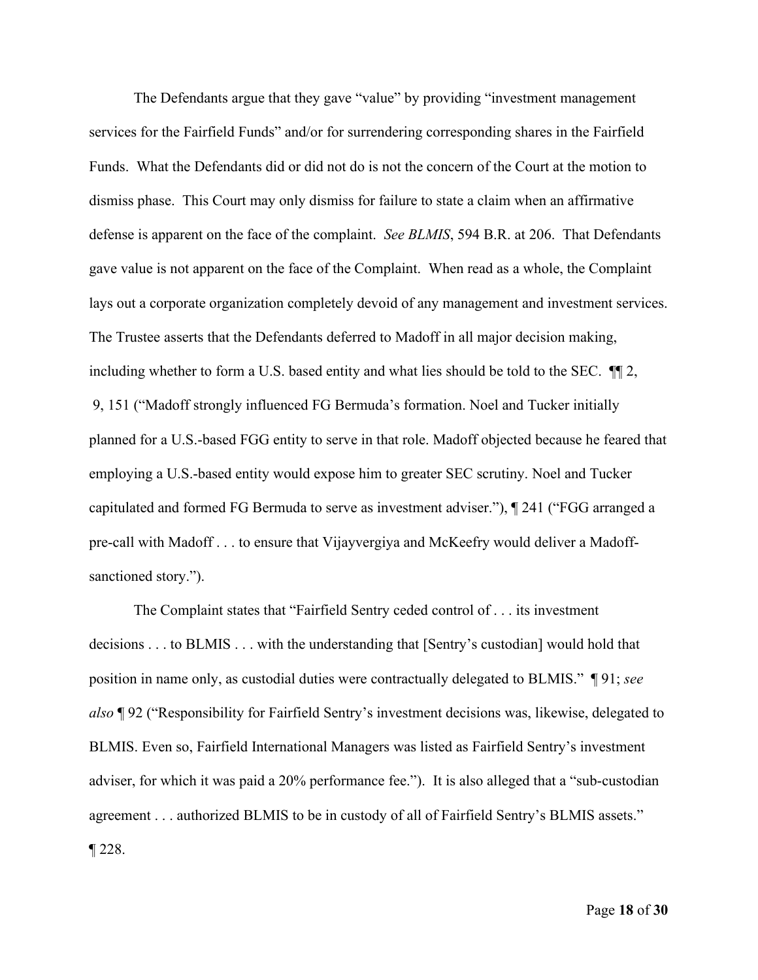The Defendants argue that they gave "value" by providing "investment management services for the Fairfield Funds" and/or for surrendering corresponding shares in the Fairfield Funds. What the Defendants did or did not do is not the concern of the Court at the motion to dismiss phase. This Court may only dismiss for failure to state a claim when an affirmative defense is apparent on the face of the complaint. *See BLMIS*, 594 B.R. at 206. That Defendants gave value is not apparent on the face of the Complaint. When read as a whole, the Complaint lays out a corporate organization completely devoid of any management and investment services. The Trustee asserts that the Defendants deferred to Madoff in all major decision making, including whether to form a U.S. based entity and what lies should be told to the SEC. ¶¶ 2, 9, 151 ("Madoff strongly influenced FG Bermuda's formation. Noel and Tucker initially planned for a U.S.-based FGG entity to serve in that role. Madoff objected because he feared that employing a U.S.-based entity would expose him to greater SEC scrutiny. Noel and Tucker capitulated and formed FG Bermuda to serve as investment adviser."), ¶ 241 ("FGG arranged a pre-call with Madoff . . . to ensure that Vijayvergiya and McKeefry would deliver a Madoffsanctioned story.").

The Complaint states that "Fairfield Sentry ceded control of . . . its investment decisions . . . to BLMIS . . . with the understanding that [Sentry's custodian] would hold that position in name only, as custodial duties were contractually delegated to BLMIS." ¶ 91; *see also* ¶ 92 ("Responsibility for Fairfield Sentry's investment decisions was, likewise, delegated to BLMIS. Even so, Fairfield International Managers was listed as Fairfield Sentry's investment adviser, for which it was paid a 20% performance fee."). It is also alleged that a "sub-custodian agreement . . . authorized BLMIS to be in custody of all of Fairfield Sentry's BLMIS assets." ¶ 228.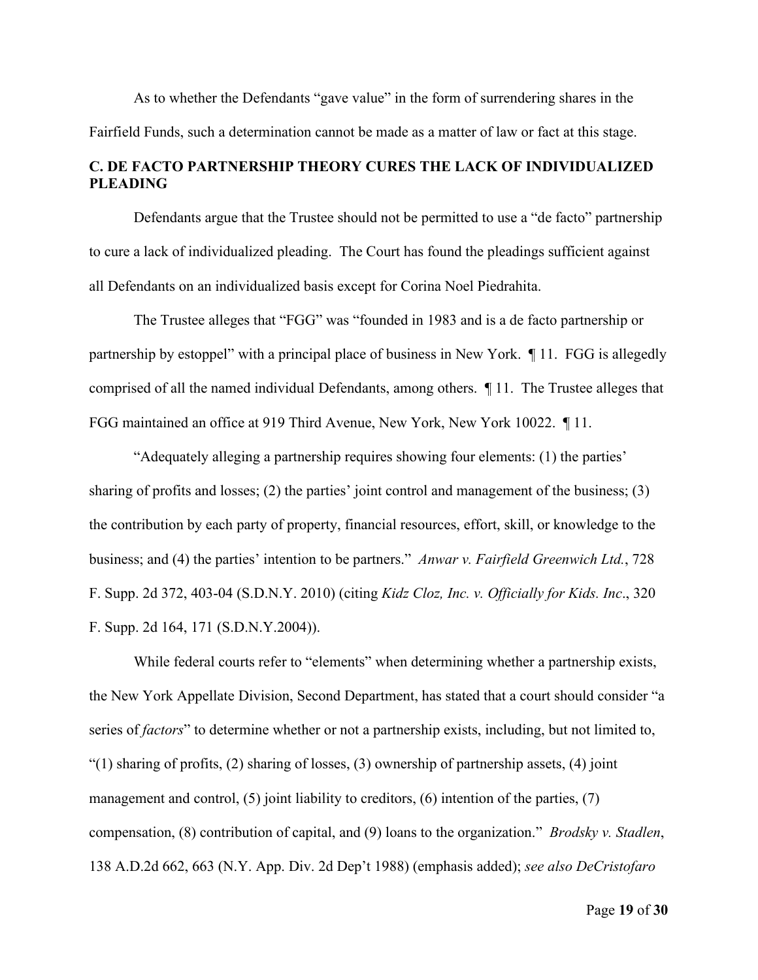As to whether the Defendants "gave value" in the form of surrendering shares in the Fairfield Funds, such a determination cannot be made as a matter of law or fact at this stage.

## **C. DE FACTO PARTNERSHIP THEORY CURES THE LACK OF INDIVIDUALIZED PLEADING**

Defendants argue that the Trustee should not be permitted to use a "de facto" partnership to cure a lack of individualized pleading. The Court has found the pleadings sufficient against all Defendants on an individualized basis except for Corina Noel Piedrahita.

The Trustee alleges that "FGG" was "founded in 1983 and is a de facto partnership or partnership by estoppel" with a principal place of business in New York. ¶ 11. FGG is allegedly comprised of all the named individual Defendants, among others. ¶ 11. The Trustee alleges that FGG maintained an office at 919 Third Avenue, New York, New York 10022. ¶ 11.

"Adequately alleging a partnership requires showing four elements: (1) the parties' sharing of profits and losses; (2) the parties' joint control and management of the business; (3) the contribution by each party of property, financial resources, effort, skill, or knowledge to the business; and (4) the parties' intention to be partners." *Anwar v. Fairfield Greenwich Ltd.*, 728 F. Supp. 2d 372, 403-04 (S.D.N.Y. 2010) (citing *Kidz Cloz, Inc. v. Officially for Kids. Inc*., 320 F. Supp. 2d 164, 171 (S.D.N.Y.2004)).

While federal courts refer to "elements" when determining whether a partnership exists, the New York Appellate Division, Second Department, has stated that a court should consider "a series of *factors*" to determine whether or not a partnership exists, including, but not limited to, "(1) sharing of profits, (2) sharing of losses, (3) ownership of partnership assets, (4) joint management and control, (5) joint liability to creditors, (6) intention of the parties, (7) compensation, (8) contribution of capital, and (9) loans to the organization." *Brodsky v. Stadlen*, 138 A.D.2d 662, 663 (N.Y. App. Div. 2d Dep't 1988) (emphasis added); *see also DeCristofaro*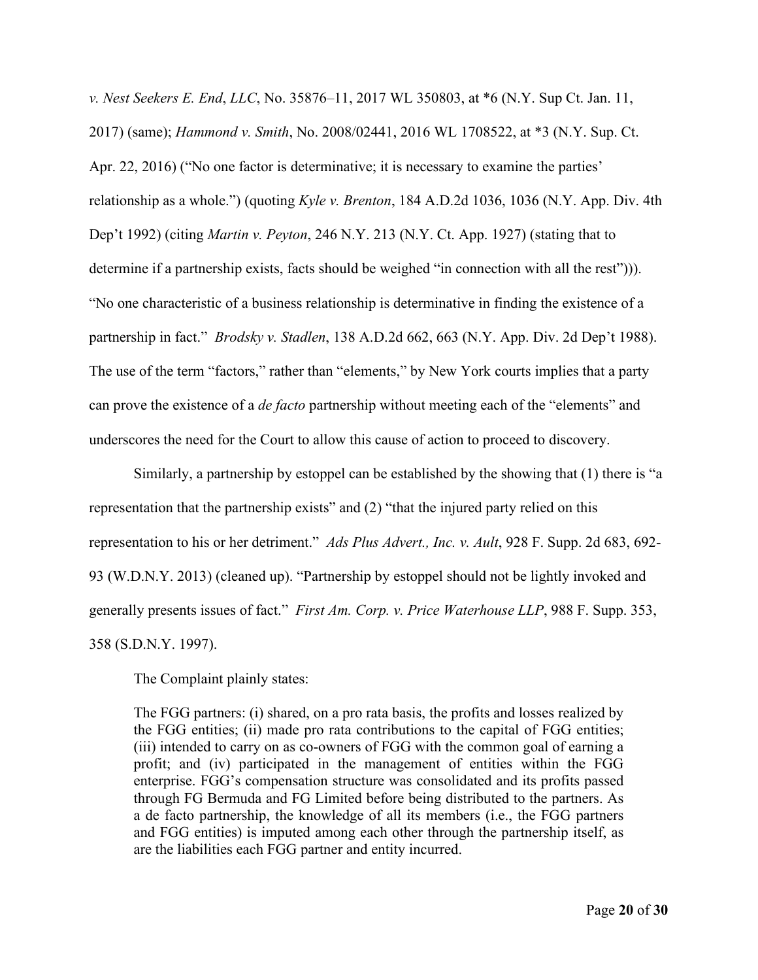*v. Nest Seekers E. End*, *LLC*, No. 35876–11, 2017 WL 350803, at \*6 (N.Y. Sup Ct. Jan. 11, 2017) (same); *Hammond v. Smith*, No. 2008/02441, 2016 WL 1708522, at \*3 (N.Y. Sup. Ct. Apr. 22, 2016) ("No one factor is determinative; it is necessary to examine the parties' relationship as a whole.") (quoting *Kyle v. Brenton*, 184 A.D.2d 1036, 1036 (N.Y. App. Div. 4th Dep't 1992) (citing *Martin v. Peyton*, 246 N.Y. 213 (N.Y. Ct. App. 1927) (stating that to determine if a partnership exists, facts should be weighed "in connection with all the rest"))). "No one characteristic of a business relationship is determinative in finding the existence of a partnership in fact." *Brodsky v. Stadlen*, 138 A.D.2d 662, 663 (N.Y. App. Div. 2d Dep't 1988). The use of the term "factors," rather than "elements," by New York courts implies that a party can prove the existence of a *de facto* partnership without meeting each of the "elements" and underscores the need for the Court to allow this cause of action to proceed to discovery.

Similarly, a partnership by estoppel can be established by the showing that (1) there is "a representation that the partnership exists" and (2) "that the injured party relied on this representation to his or her detriment." *Ads Plus Advert., Inc. v. Ault*, 928 F. Supp. 2d 683, 692- 93 (W.D.N.Y. 2013) (cleaned up). "Partnership by estoppel should not be lightly invoked and generally presents issues of fact." *First Am. Corp. v. Price Waterhouse LLP*, 988 F. Supp. 353, 358 (S.D.N.Y. 1997).

The Complaint plainly states:

The FGG partners: (i) shared, on a pro rata basis, the profits and losses realized by the FGG entities; (ii) made pro rata contributions to the capital of FGG entities; (iii) intended to carry on as co-owners of FGG with the common goal of earning a profit; and (iv) participated in the management of entities within the FGG enterprise. FGG's compensation structure was consolidated and its profits passed through FG Bermuda and FG Limited before being distributed to the partners. As a de facto partnership, the knowledge of all its members (i.e., the FGG partners and FGG entities) is imputed among each other through the partnership itself, as are the liabilities each FGG partner and entity incurred.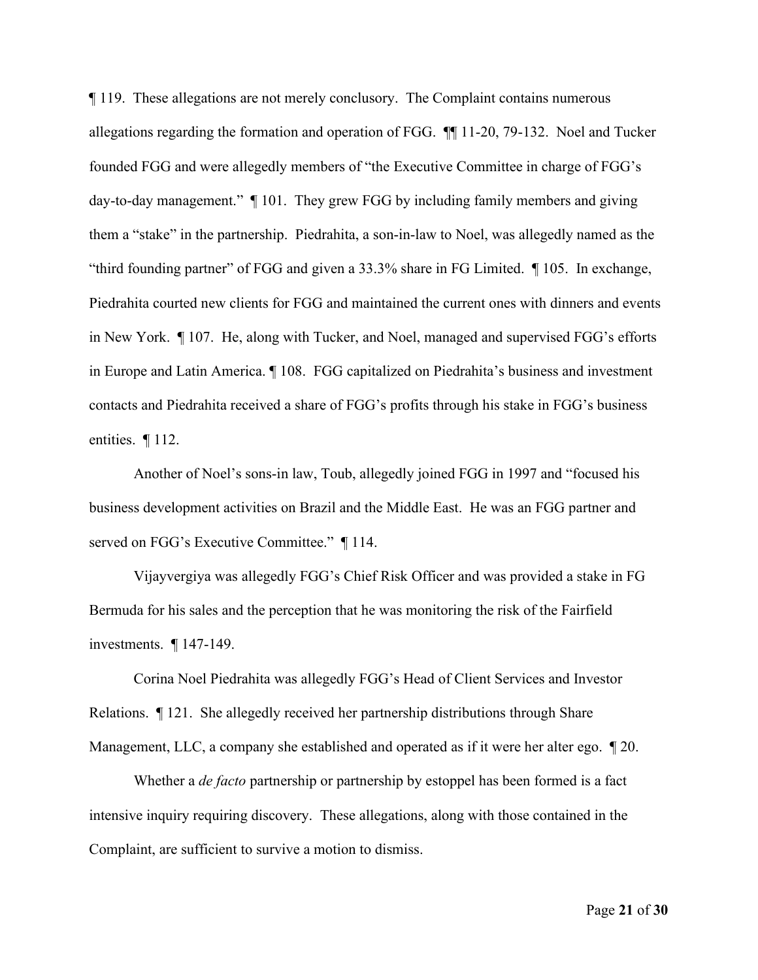¶ 119. These allegations are not merely conclusory. The Complaint contains numerous allegations regarding the formation and operation of FGG. ¶¶ 11-20, 79-132. Noel and Tucker founded FGG and were allegedly members of "the Executive Committee in charge of FGG's day-to-day management." ¶ 101. They grew FGG by including family members and giving them a "stake" in the partnership. Piedrahita, a son-in-law to Noel, was allegedly named as the "third founding partner" of FGG and given a 33.3% share in FG Limited. ¶ 105. In exchange, Piedrahita courted new clients for FGG and maintained the current ones with dinners and events in New York. ¶ 107. He, along with Tucker, and Noel, managed and supervised FGG's efforts in Europe and Latin America. ¶ 108. FGG capitalized on Piedrahita's business and investment contacts and Piedrahita received a share of FGG's profits through his stake in FGG's business entities. ¶ 112.

Another of Noel's sons-in law, Toub, allegedly joined FGG in 1997 and "focused his business development activities on Brazil and the Middle East. He was an FGG partner and served on FGG's Executive Committee." 114.

Vijayvergiya was allegedly FGG's Chief Risk Officer and was provided a stake in FG Bermuda for his sales and the perception that he was monitoring the risk of the Fairfield investments. ¶ 147-149.

Corina Noel Piedrahita was allegedly FGG's Head of Client Services and Investor Relations. ¶ 121. She allegedly received her partnership distributions through Share Management, LLC, a company she established and operated as if it were her alter ego. ¶ 20.

Whether a *de facto* partnership or partnership by estoppel has been formed is a fact intensive inquiry requiring discovery. These allegations, along with those contained in the Complaint, are sufficient to survive a motion to dismiss.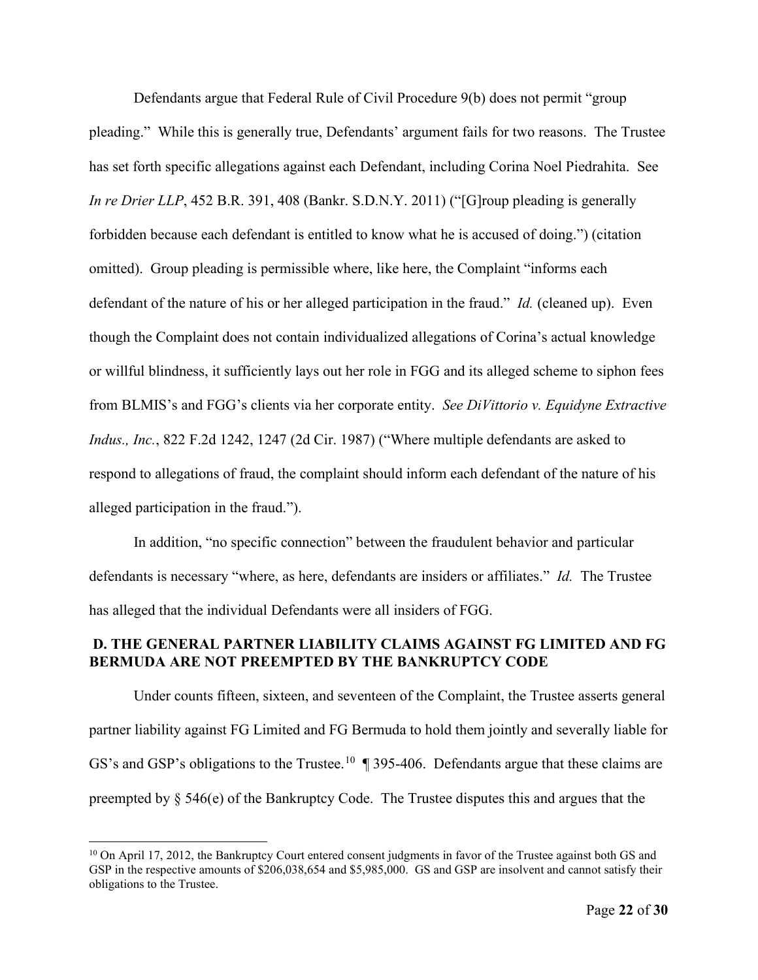Defendants argue that Federal Rule of Civil Procedure 9(b) does not permit "group pleading." While this is generally true, Defendants' argument fails for two reasons. The Trustee has set forth specific allegations against each Defendant, including Corina Noel Piedrahita. See *In re Drier LLP*, 452 B.R. 391, 408 (Bankr. S.D.N.Y. 2011) ("[G]roup pleading is generally forbidden because each defendant is entitled to know what he is accused of doing.") (citation omitted). Group pleading is permissible where, like here, the Complaint "informs each defendant of the nature of his or her alleged participation in the fraud." *Id.* (cleaned up). Even though the Complaint does not contain individualized allegations of Corina's actual knowledge or willful blindness, it sufficiently lays out her role in FGG and its alleged scheme to siphon fees from BLMIS's and FGG's clients via her corporate entity. *See DiVittorio v. Equidyne Extractive Indus., Inc.*, 822 F.2d 1242, 1247 (2d Cir. 1987) ("Where multiple defendants are asked to respond to allegations of fraud, the complaint should inform each defendant of the nature of his alleged participation in the fraud.").

In addition, "no specific connection" between the fraudulent behavior and particular defendants is necessary "where, as here, defendants are insiders or affiliates." *Id.* The Trustee has alleged that the individual Defendants were all insiders of FGG.

### **D. THE GENERAL PARTNER LIABILITY CLAIMS AGAINST FG LIMITED AND FG BERMUDA ARE NOT PREEMPTED BY THE BANKRUPTCY CODE**

Under counts fifteen, sixteen, and seventeen of the Complaint, the Trustee asserts general partner liability against FG Limited and FG Bermuda to hold them jointly and severally liable for GS's and GSP's obligations to the Trustee.<sup>[10](#page-21-0)</sup>  $\parallel$  395-406. Defendants argue that these claims are preempted by § 546(e) of the Bankruptcy Code. The Trustee disputes this and argues that the

<span id="page-21-0"></span> $10$  On April 17, 2012, the Bankruptcy Court entered consent judgments in favor of the Trustee against both GS and GSP in the respective amounts of \$206,038,654 and \$5,985,000. GS and GSP are insolvent and cannot satisfy their obligations to the Trustee.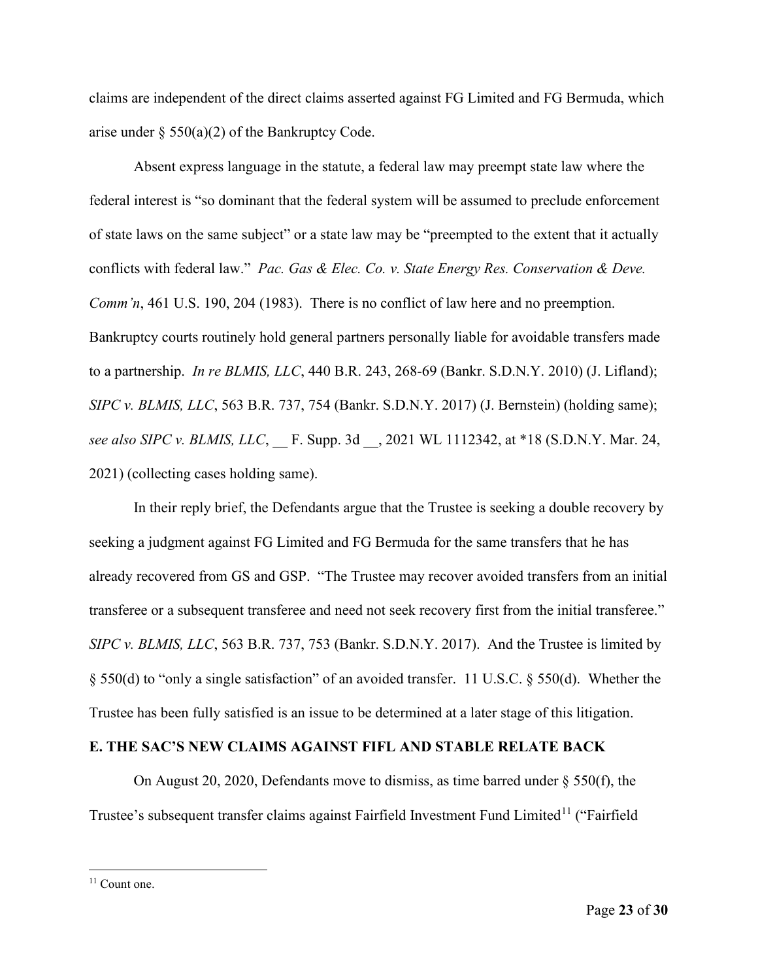claims are independent of the direct claims asserted against FG Limited and FG Bermuda, which arise under  $\S$  550(a)(2) of the Bankruptcy Code.

Absent express language in the statute, a federal law may preempt state law where the federal interest is "so dominant that the federal system will be assumed to preclude enforcement of state laws on the same subject" or a state law may be "preempted to the extent that it actually conflicts with federal law." *Pac. Gas & Elec. Co. v. State Energy Res. Conservation & Deve. Comm'n*, 461 U.S. 190, 204 (1983). There is no conflict of law here and no preemption. Bankruptcy courts routinely hold general partners personally liable for avoidable transfers made to a partnership. *In re BLMIS, LLC*, 440 B.R. 243, 268-69 (Bankr. S.D.N.Y. 2010) (J. Lifland); *SIPC v. BLMIS, LLC*, 563 B.R. 737, 754 (Bankr. S.D.N.Y. 2017) (J. Bernstein) (holding same); *see also SIPC v. BLMIS, LLC*, F. Supp. 3d , 2021 WL 1112342, at \*18 (S.D.N.Y. Mar. 24, 2021) (collecting cases holding same).

In their reply brief, the Defendants argue that the Trustee is seeking a double recovery by seeking a judgment against FG Limited and FG Bermuda for the same transfers that he has already recovered from GS and GSP. "The Trustee may recover avoided transfers from an initial transferee or a subsequent transferee and need not seek recovery first from the initial transferee." *SIPC v. BLMIS, LLC*, 563 B.R. 737, 753 (Bankr. S.D.N.Y. 2017). And the Trustee is limited by § 550(d) to "only a single satisfaction" of an avoided transfer. 11 U.S.C. § 550(d). Whether the Trustee has been fully satisfied is an issue to be determined at a later stage of this litigation.

#### **E. THE SAC'S NEW CLAIMS AGAINST FIFL AND STABLE RELATE BACK**

On August 20, 2020, Defendants move to dismiss, as time barred under § 550(f), the Trustee's subsequent transfer claims against Fairfield Investment Fund Limited<sup>[11](#page-22-0)</sup> ("Fairfield

<span id="page-22-0"></span><sup>&</sup>lt;sup>11</sup> Count one.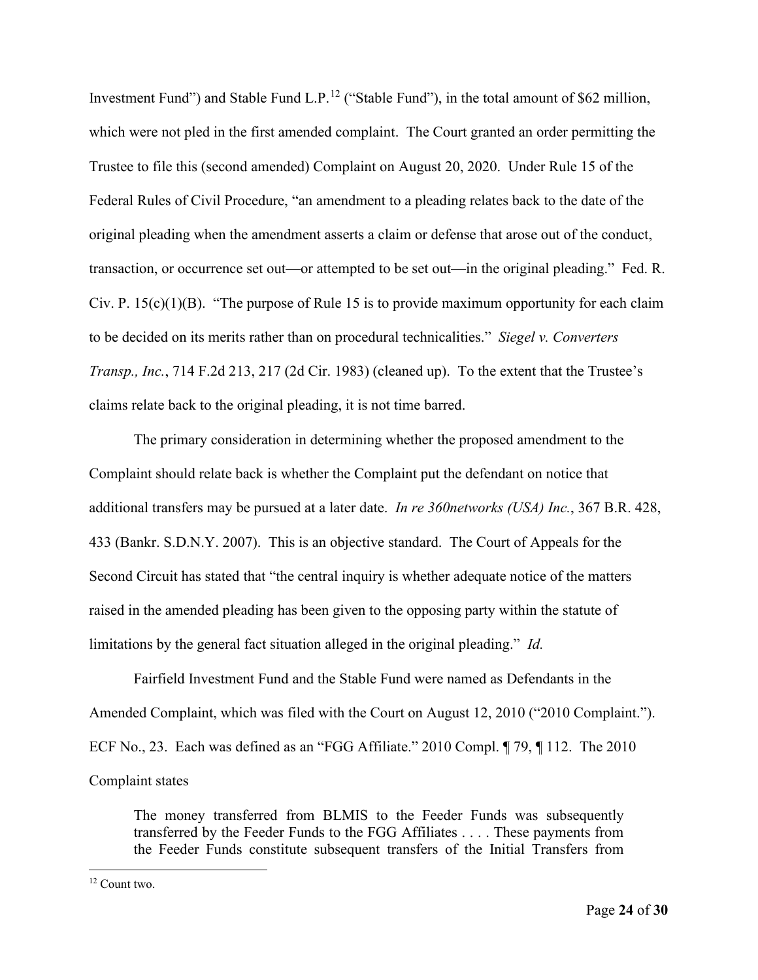Investment Fund") and Stable Fund L.P.<sup>[12](#page-23-0)</sup> ("Stable Fund"), in the total amount of \$62 million, which were not pled in the first amended complaint. The Court granted an order permitting the Trustee to file this (second amended) Complaint on August 20, 2020. Under Rule 15 of the Federal Rules of Civil Procedure, "an amendment to a pleading relates back to the date of the original pleading when the amendment asserts a claim or defense that arose out of the conduct, transaction, or occurrence set out—or attempted to be set out—in the original pleading." Fed. R. Civ. P.  $15(c)(1)(B)$ . "The purpose of Rule 15 is to provide maximum opportunity for each claim to be decided on its merits rather than on procedural technicalities." *Siegel v. Converters Transp., Inc.*, 714 F.2d 213, 217 (2d Cir. 1983) (cleaned up). To the extent that the Trustee's claims relate back to the original pleading, it is not time barred.

The primary consideration in determining whether the proposed amendment to the Complaint should relate back is whether the Complaint put the defendant on notice that additional transfers may be pursued at a later date. *In re 360networks (USA) Inc.*, 367 B.R. 428, 433 (Bankr. S.D.N.Y. 2007). This is an objective standard. The Court of Appeals for the Second Circuit has stated that "the central inquiry is whether adequate notice of the matters raised in the amended pleading has been given to the opposing party within the statute of limitations by the general fact situation alleged in the original pleading." *Id.* 

Fairfield Investment Fund and the Stable Fund were named as Defendants in the Amended Complaint, which was filed with the Court on August 12, 2010 ("2010 Complaint."). ECF No., 23. Each was defined as an "FGG Affiliate." 2010 Compl. ¶ 79, ¶ 112. The 2010 Complaint states

The money transferred from BLMIS to the Feeder Funds was subsequently transferred by the Feeder Funds to the FGG Affiliates . . . . These payments from the Feeder Funds constitute subsequent transfers of the Initial Transfers from

<span id="page-23-0"></span><sup>12</sup> Count two.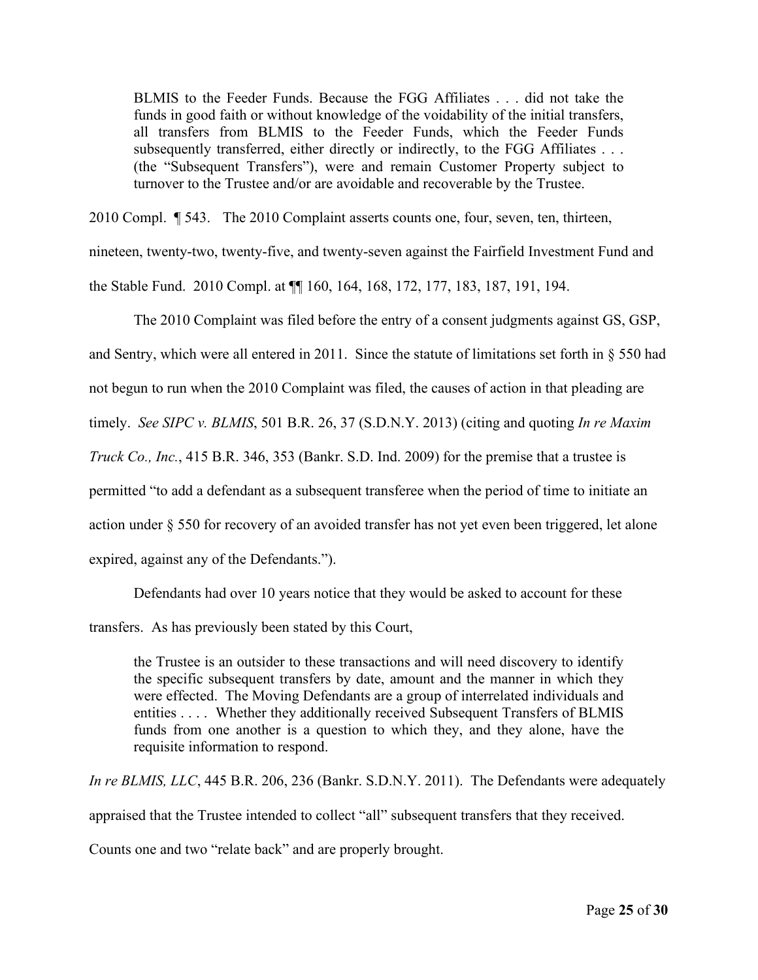BLMIS to the Feeder Funds. Because the FGG Affiliates . . . did not take the funds in good faith or without knowledge of the voidability of the initial transfers, all transfers from BLMIS to the Feeder Funds, which the Feeder Funds subsequently transferred, either directly or indirectly, to the FGG Affiliates . . . (the "Subsequent Transfers"), were and remain Customer Property subject to turnover to the Trustee and/or are avoidable and recoverable by the Trustee.

2010 Compl. ¶ 543. The 2010 Complaint asserts counts one, four, seven, ten, thirteen,

nineteen, twenty-two, twenty-five, and twenty-seven against the Fairfield Investment Fund and the Stable Fund. 2010 Compl. at ¶¶ 160, 164, 168, 172, 177, 183, 187, 191, 194.

The 2010 Complaint was filed before the entry of a consent judgments against GS, GSP, and Sentry, which were all entered in 2011. Since the statute of limitations set forth in § 550 had not begun to run when the 2010 Complaint was filed, the causes of action in that pleading are timely. *See SIPC v. BLMIS*, 501 B.R. 26, 37 (S.D.N.Y. 2013) (citing and quoting *In re Maxim Truck Co., Inc.*, 415 B.R. 346, 353 (Bankr. S.D. Ind. 2009) for the premise that a trustee is permitted "to add a defendant as a subsequent transferee when the period of time to initiate an action under § 550 for recovery of an avoided transfer has not yet even been triggered, let alone expired, against any of the Defendants.").

Defendants had over 10 years notice that they would be asked to account for these

transfers. As has previously been stated by this Court,

the Trustee is an outsider to these transactions and will need discovery to identify the specific subsequent transfers by date, amount and the manner in which they were effected. The Moving Defendants are a group of interrelated individuals and entities . . . . Whether they additionally received Subsequent Transfers of BLMIS funds from one another is a question to which they, and they alone, have the requisite information to respond.

*In re BLMIS, LLC*, 445 B.R. 206, 236 (Bankr. S.D.N.Y. 2011). The Defendants were adequately

appraised that the Trustee intended to collect "all" subsequent transfers that they received.

Counts one and two "relate back" and are properly brought.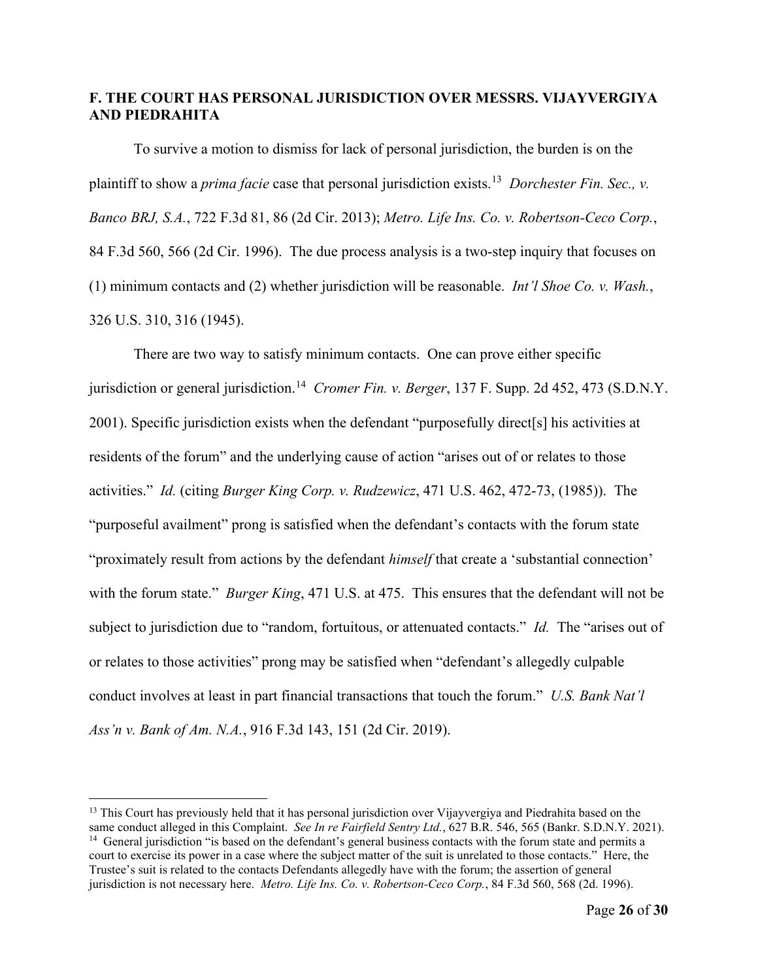## **F. THE COURT HAS PERSONAL JURISDICTION OVER MESSRS. VIJAYVERGIYA AND PIEDRAHITA**

To survive a motion to dismiss for lack of personal jurisdiction, the burden is on the plaintiff to show a *prima facie* case that personal jurisdiction exists.[13](#page-25-0) *Dorchester Fin. Sec., v. Banco BRJ, S.A.*, 722 F.3d 81, 86 (2d Cir. 2013); *Metro. Life Ins. Co. v. Robertson-Ceco Corp.*, 84 F.3d 560, 566 (2d Cir. 1996). The due process analysis is a two-step inquiry that focuses on (1) minimum contacts and (2) whether jurisdiction will be reasonable. *Int'l Shoe Co. v. Wash.*, 326 U.S. 310, 316 (1945).

There are two way to satisfy minimum contacts. One can prove either specific jurisdiction or general jurisdiction.<sup>[14](#page-25-1)</sup> *Cromer Fin. v. Berger*, 137 F. Supp. 2d 452, 473 (S.D.N.Y.) 2001). Specific jurisdiction exists when the defendant "purposefully direct[s] his activities at residents of the forum" and the underlying cause of action "arises out of or relates to those activities." *Id.* (citing *Burger King Corp. v. Rudzewicz*, 471 U.S. 462, 472-73, (1985)). The "purposeful availment" prong is satisfied when the defendant's contacts with the forum state "proximately result from actions by the defendant *himself* that create a 'substantial connection' with the forum state." *Burger King*, 471 U.S. at 475. This ensures that the defendant will not be subject to jurisdiction due to "random, fortuitous, or attenuated contacts." *Id.* The "arises out of or relates to those activities" prong may be satisfied when "defendant's allegedly culpable conduct involves at least in part financial transactions that touch the forum." *U.S. Bank Nat'l Ass'n v. Bank of Am. N.A.*, 916 F.3d 143, 151 (2d Cir. 2019).

<span id="page-25-1"></span><span id="page-25-0"></span><sup>&</sup>lt;sup>13</sup> This Court has previously held that it has personal jurisdiction over Vijayvergiya and Piedrahita based on the same conduct alleged in this Complaint. See In re Fairfield Sentry Ltd., 627 B.R. 546, 565 (Bankr. S.D.N.Y. 2021).<br><sup>14</sup> General jurisdiction "is based on the defendant's general business contacts with the forum state and p court to exercise its power in a case where the subject matter of the suit is unrelated to those contacts." Here, the Trustee's suit is related to the contacts Defendants allegedly have with the forum; the assertion of general jurisdiction is not necessary here. *Metro. Life Ins. Co. v. Robertson-Ceco Corp.*, 84 F.3d 560, 568 (2d. 1996).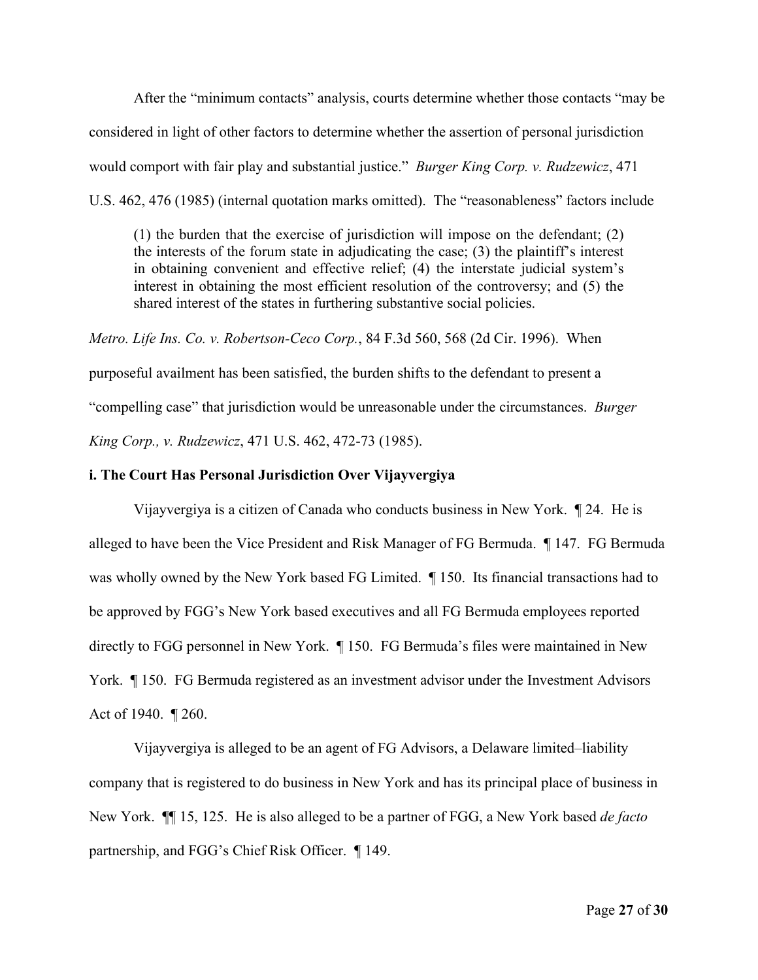After the "minimum contacts" analysis, courts determine whether those contacts "may be considered in light of other factors to determine whether the assertion of personal jurisdiction would comport with fair play and substantial justice." *Burger King Corp. v. Rudzewicz*, 471 U.S. 462, 476 (1985) (internal quotation marks omitted). The "reasonableness" factors include

(1) the burden that the exercise of jurisdiction will impose on the defendant; (2) the interests of the forum state in adjudicating the case; (3) the plaintiff's interest in obtaining convenient and effective relief; (4) the interstate judicial system's interest in obtaining the most efficient resolution of the controversy; and (5) the shared interest of the states in furthering substantive social policies.

*Metro. Life Ins. Co. v. Robertson-Ceco Corp.*, 84 F.3d 560, 568 (2d Cir. 1996). When purposeful availment has been satisfied, the burden shifts to the defendant to present a "compelling case" that jurisdiction would be unreasonable under the circumstances. *Burger King Corp., v. Rudzewicz*, 471 U.S. 462, 472-73 (1985).

#### **i. The Court Has Personal Jurisdiction Over Vijayvergiya**

Vijayvergiya is a citizen of Canada who conducts business in New York. ¶ 24. He is alleged to have been the Vice President and Risk Manager of FG Bermuda. ¶ 147. FG Bermuda was wholly owned by the New York based FG Limited. ¶ 150. Its financial transactions had to be approved by FGG's New York based executives and all FG Bermuda employees reported directly to FGG personnel in New York. ¶ 150. FG Bermuda's files were maintained in New York. ¶ 150. FG Bermuda registered as an investment advisor under the Investment Advisors Act of 1940. ¶ 260.

Vijayvergiya is alleged to be an agent of FG Advisors, a Delaware limited–liability company that is registered to do business in New York and has its principal place of business in New York. ¶¶ 15, 125. He is also alleged to be a partner of FGG, a New York based *de facto* partnership, and FGG's Chief Risk Officer. ¶ 149.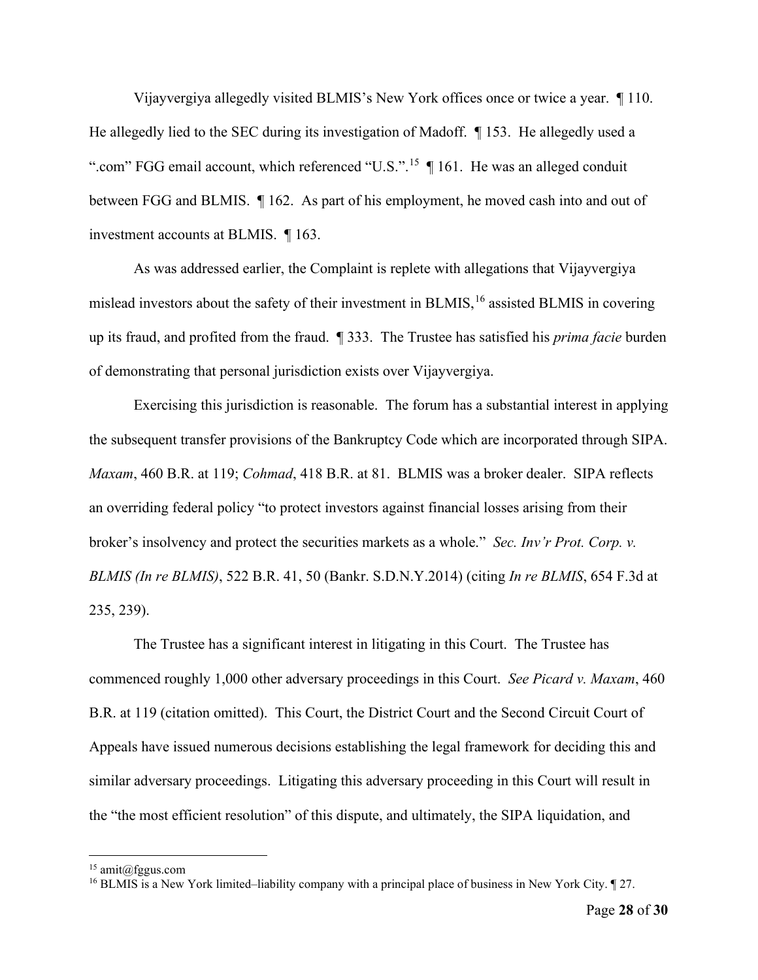Vijayvergiya allegedly visited BLMIS's New York offices once or twice a year. ¶ 110. He allegedly lied to the SEC during its investigation of Madoff. ¶ 153. He allegedly used a ".com" FGG email account, which referenced "U.S.".<sup>[15](#page-27-0)</sup> | 161. He was an alleged conduit between FGG and BLMIS. ¶ 162. As part of his employment, he moved cash into and out of investment accounts at BLMIS. ¶ 163.

As was addressed earlier, the Complaint is replete with allegations that Vijayvergiya mislead investors about the safety of their investment in BLMIS, [16](#page-27-1) assisted BLMIS in covering up its fraud, and profited from the fraud. ¶ 333. The Trustee has satisfied his *prima facie* burden of demonstrating that personal jurisdiction exists over Vijayvergiya.

Exercising this jurisdiction is reasonable. The forum has a substantial interest in applying the subsequent transfer provisions of the Bankruptcy Code which are incorporated through SIPA. *Maxam*, 460 B.R. at 119; *Cohmad*, 418 B.R. at 81. BLMIS was a broker dealer. SIPA reflects an overriding federal policy "to protect investors against financial losses arising from their broker's insolvency and protect the securities markets as a whole." *Sec. Inv'r Prot. Corp. v. BLMIS (In re BLMIS)*, 522 B.R. 41, 50 (Bankr. S.D.N.Y.2014) (citing *In re BLMIS*, 654 F.3d at 235, 239).

The Trustee has a significant interest in litigating in this Court. The Trustee has commenced roughly 1,000 other adversary proceedings in this Court. *See Picard v. Maxam*, 460 B.R. at 119 (citation omitted). This Court, the District Court and the Second Circuit Court of Appeals have issued numerous decisions establishing the legal framework for deciding this and similar adversary proceedings. Litigating this adversary proceeding in this Court will result in the "the most efficient resolution" of this dispute, and ultimately, the SIPA liquidation, and

<span id="page-27-0"></span> $15$  amit@fggus.com

<span id="page-27-1"></span><sup>&</sup>lt;sup>16</sup> BLMIS is a New York limited–liability company with a principal place of business in New York City. ¶ 27.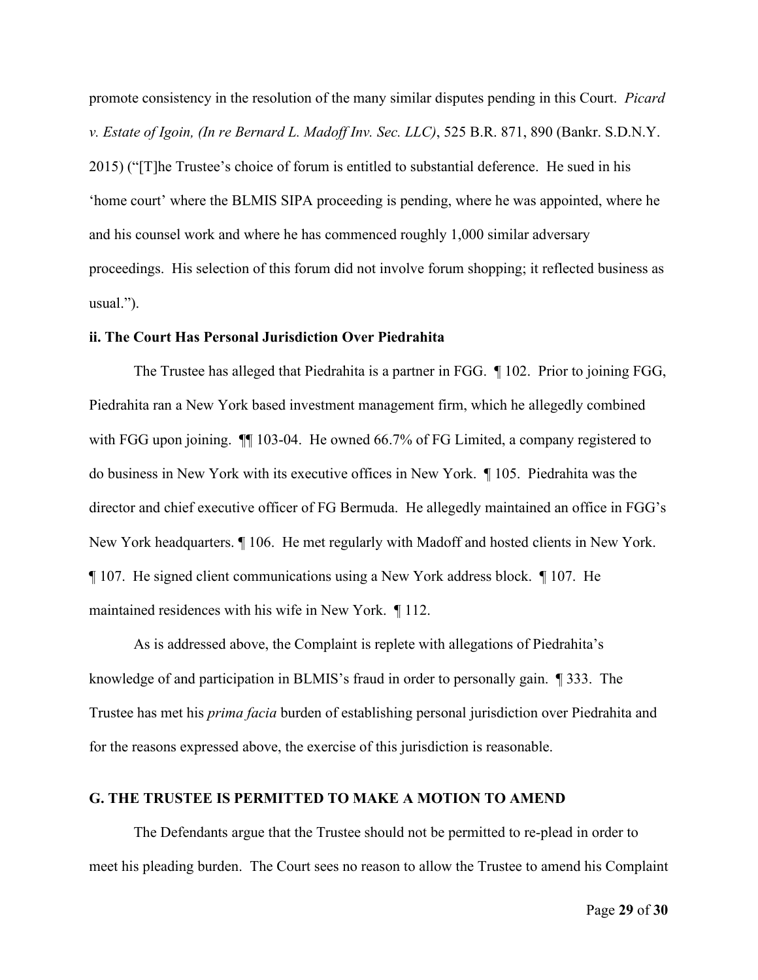promote consistency in the resolution of the many similar disputes pending in this Court. *Picard v. Estate of Igoin, (In re Bernard L. Madoff Inv. Sec. LLC)*, 525 B.R. 871, 890 (Bankr. S.D.N.Y. 2015) ("[T]he Trustee's choice of forum is entitled to substantial deference. He sued in his 'home court' where the BLMIS SIPA proceeding is pending, where he was appointed, where he and his counsel work and where he has commenced roughly 1,000 similar adversary proceedings. His selection of this forum did not involve forum shopping; it reflected business as usual.").

#### **ii. The Court Has Personal Jurisdiction Over Piedrahita**

The Trustee has alleged that Piedrahita is a partner in FGG. ¶ 102. Prior to joining FGG, Piedrahita ran a New York based investment management firm, which he allegedly combined with FGG upon joining.  $\P$  103-04. He owned 66.7% of FG Limited, a company registered to do business in New York with its executive offices in New York. ¶ 105. Piedrahita was the director and chief executive officer of FG Bermuda. He allegedly maintained an office in FGG's New York headquarters. ¶ 106. He met regularly with Madoff and hosted clients in New York. ¶ 107. He signed client communications using a New York address block. ¶ 107. He maintained residences with his wife in New York. ¶ 112.

As is addressed above, the Complaint is replete with allegations of Piedrahita's knowledge of and participation in BLMIS's fraud in order to personally gain. ¶ 333. The Trustee has met his *prima facia* burden of establishing personal jurisdiction over Piedrahita and for the reasons expressed above, the exercise of this jurisdiction is reasonable.

#### **G. THE TRUSTEE IS PERMITTED TO MAKE A MOTION TO AMEND**

The Defendants argue that the Trustee should not be permitted to re-plead in order to meet his pleading burden. The Court sees no reason to allow the Trustee to amend his Complaint